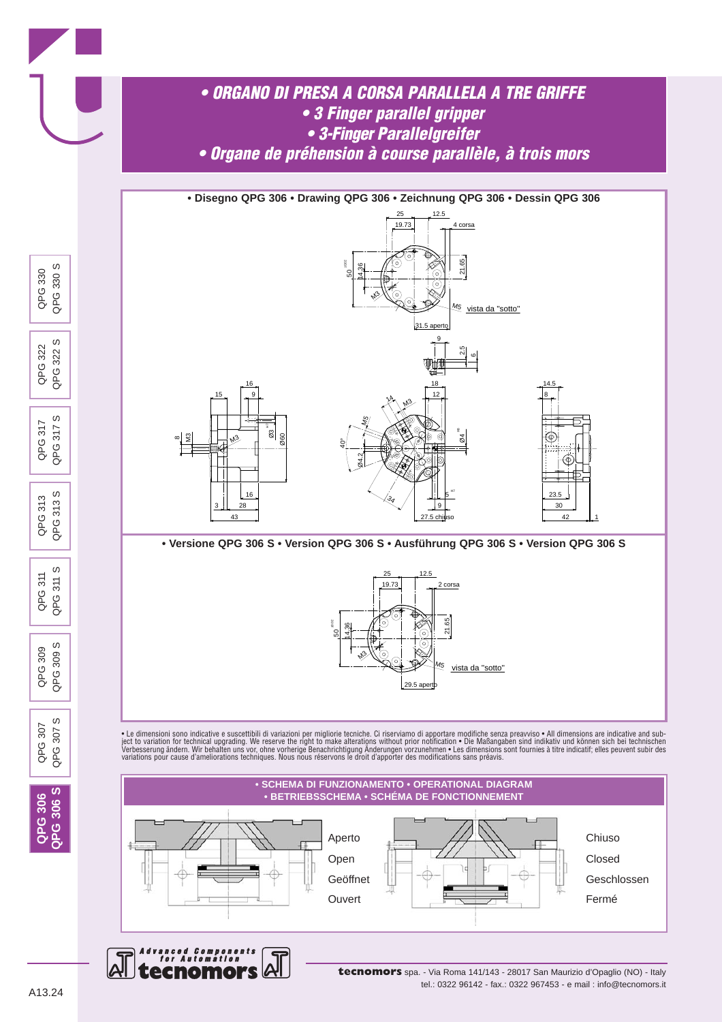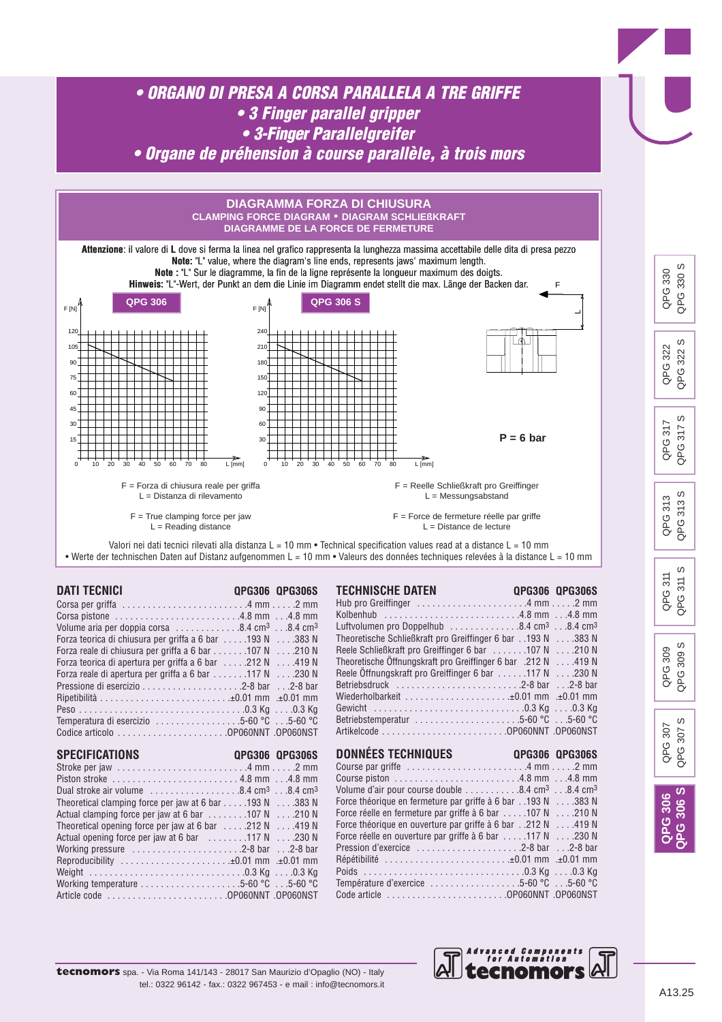



Working temperature . . . . . . . . . . . . . . . . . . . .5-60 °C . . .5-60 °C

Article code . . . . . . . . . . . . . . . . . . . . . . . .OP060NNT .OP060NST

*Advanced Components for Automation*

ecnomol

Température d'exercice . . . . . . . . . . . . . . . . . .5-60 °C . . .5-60 °C Code article . . . . . . . . . . . . . . . . . . . . . . . .OP060NNT .OP060NST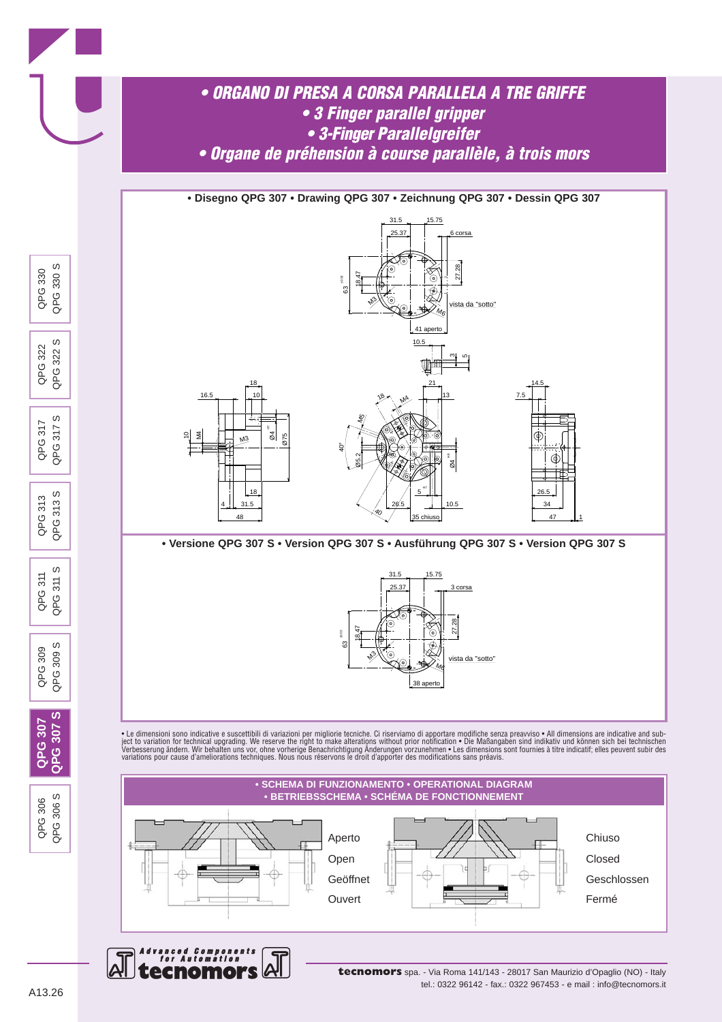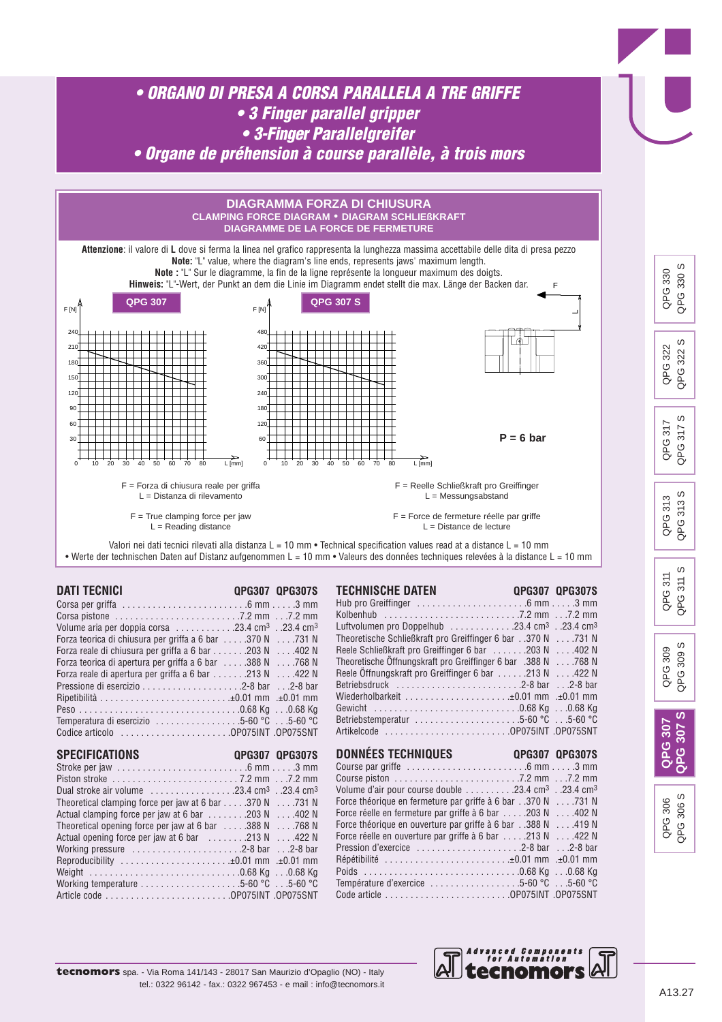



*Advanced Components for Automation*

enomol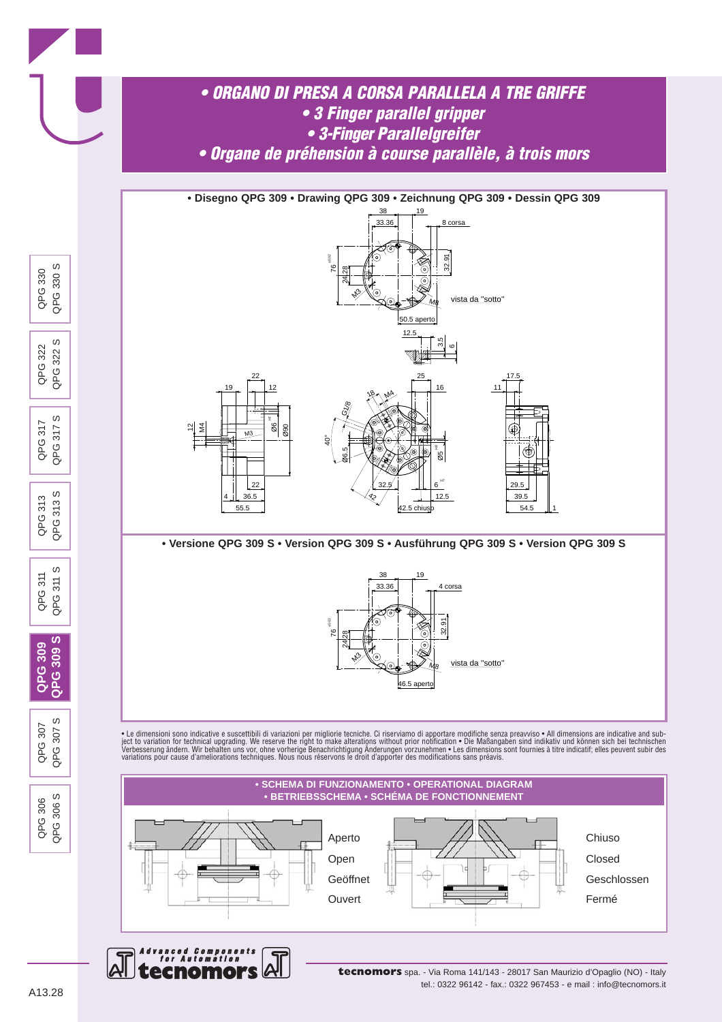

ecnomo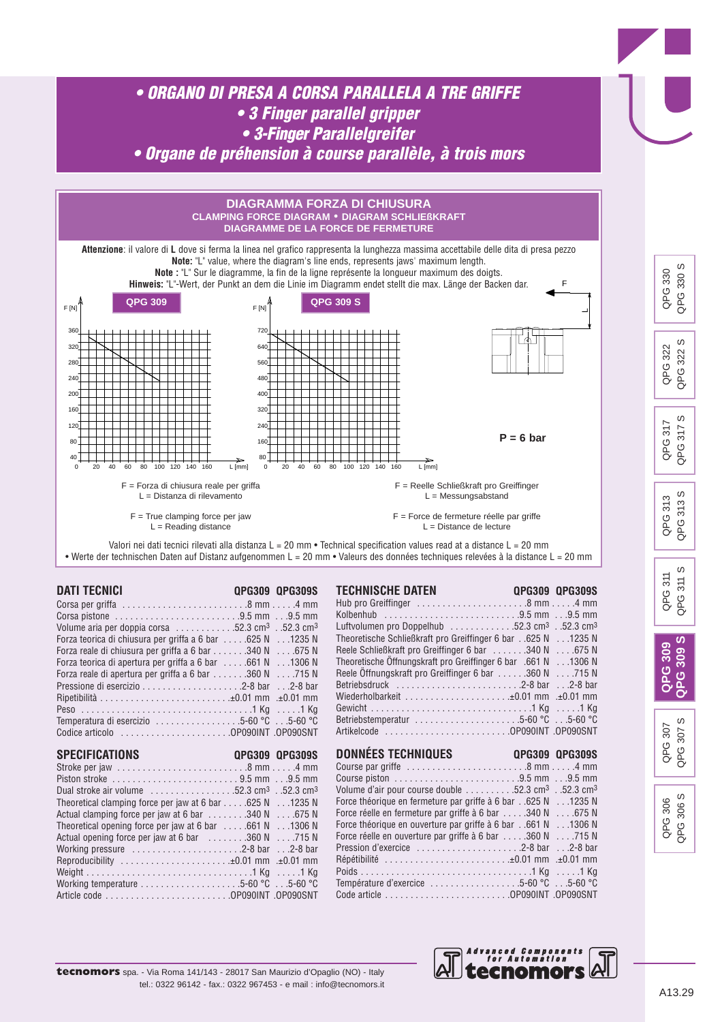

*Advanced Components for Automation*

ecnomol

**tecnomors** spa. - Via Roma 141/143 - 28017 San Maurizio d'Opaglio (NO) - Italy tel.: 0322 96142 - fax.: 0322 967453 - e mail : info@tecnomors.it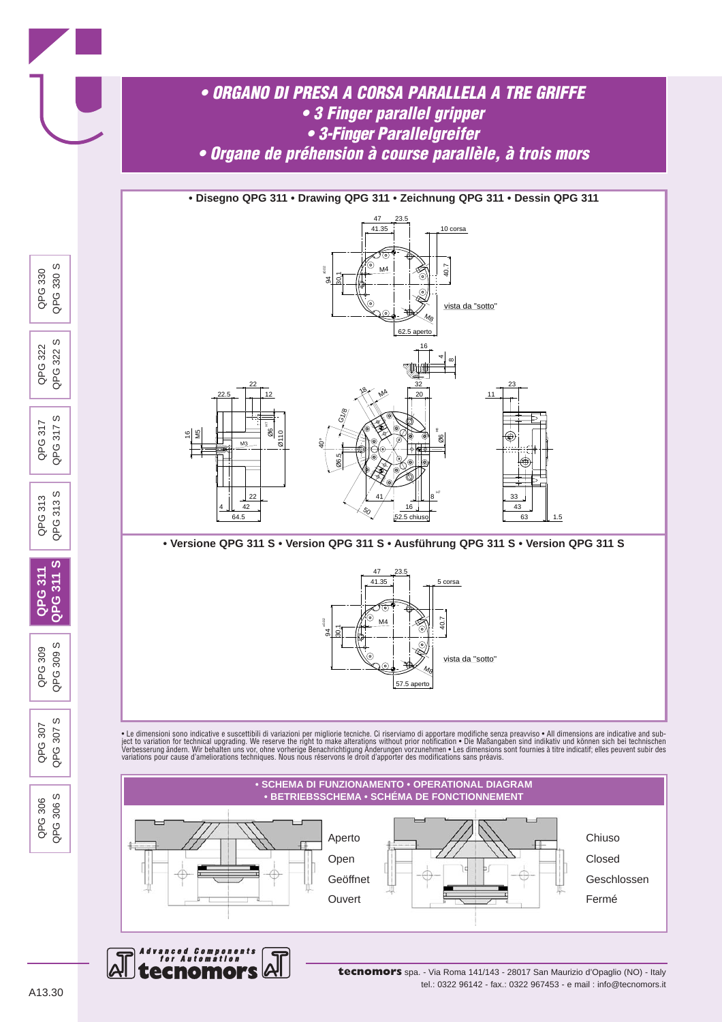

**tecnomors** spa. - Via Roma 141/143 - 28017 San Maurizio d'Opaglio (NO) - Italy tel.: 0322 96142 - fax.: 0322 967453 - e mail : info@tecnomors.it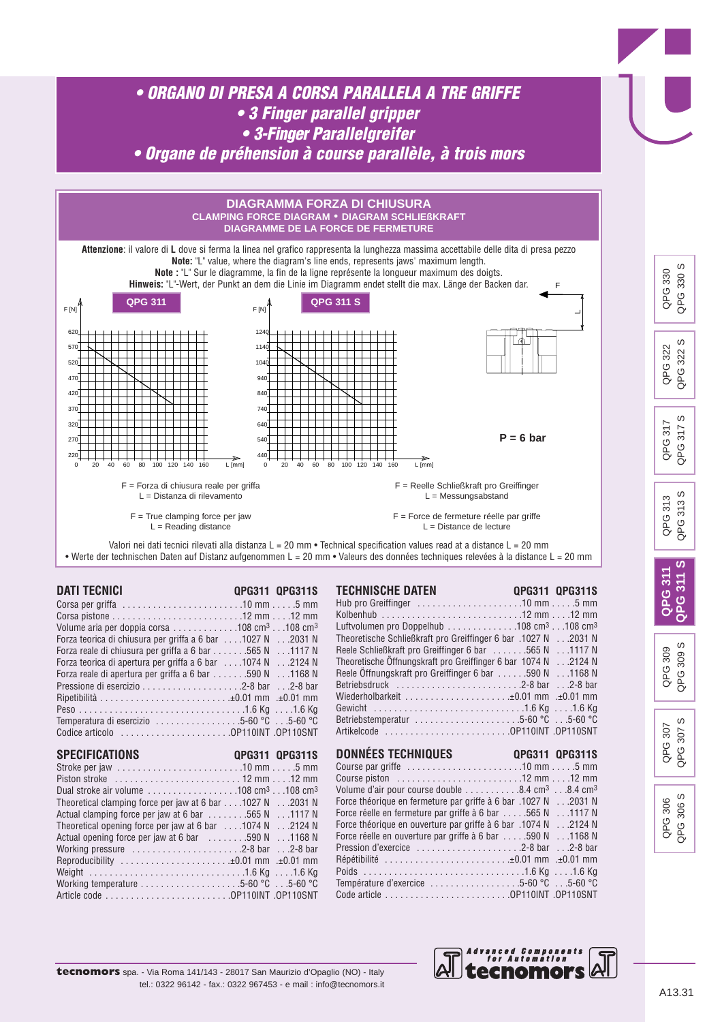

Article code . . . . . . . . . . . . . . . . . . . . . . . . .OP110INT .OP110SNT

*Advanced Components for Automation*

enomol

**tecnomors** spa. - Via Roma 141/143 - 28017 San Maurizio d'Opaglio (NO) - Italy tel.: 0322 96142 - fax.: 0322 967453 - e mail : info@tecnomors.it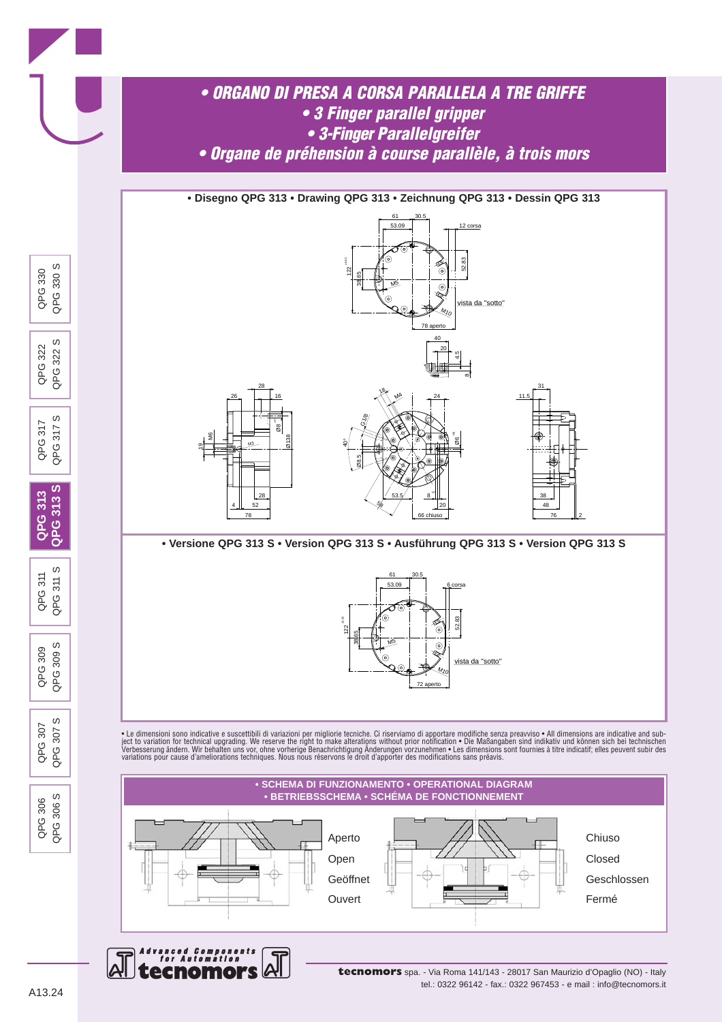

**tecnomors** spa. - Via Roma 141/143 - 28017 San Maurizio d'Opaglio (NO) - Italy tel.: 0322 96142 - fax.: 0322 967453 - e mail : info@tecnomors.it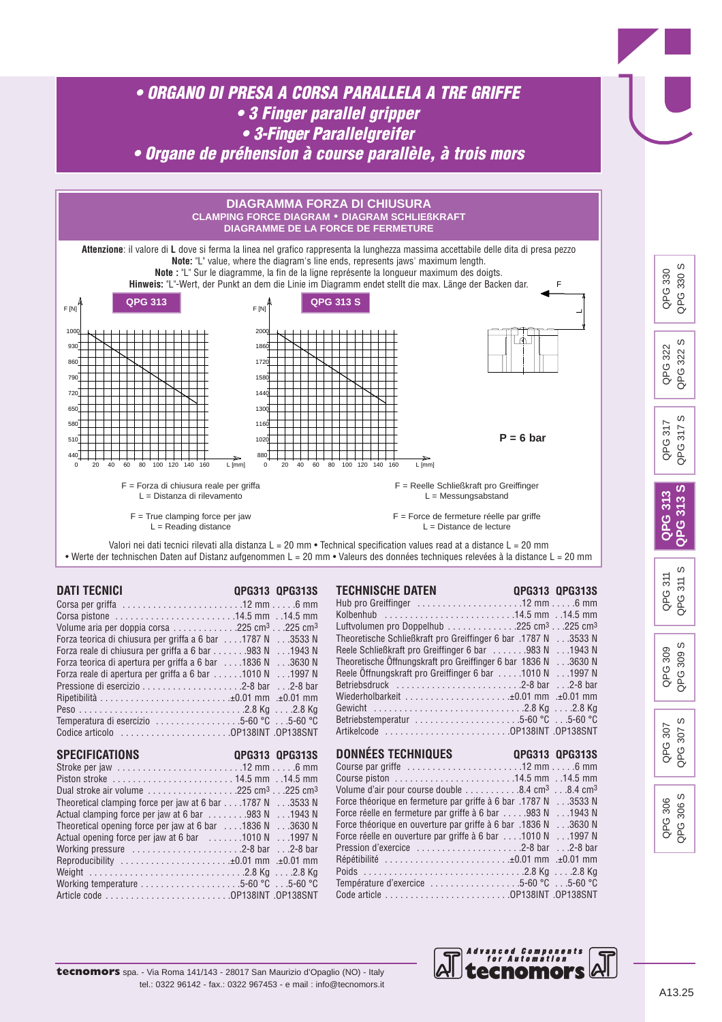

*Advanced Components for Automation*

ecnomol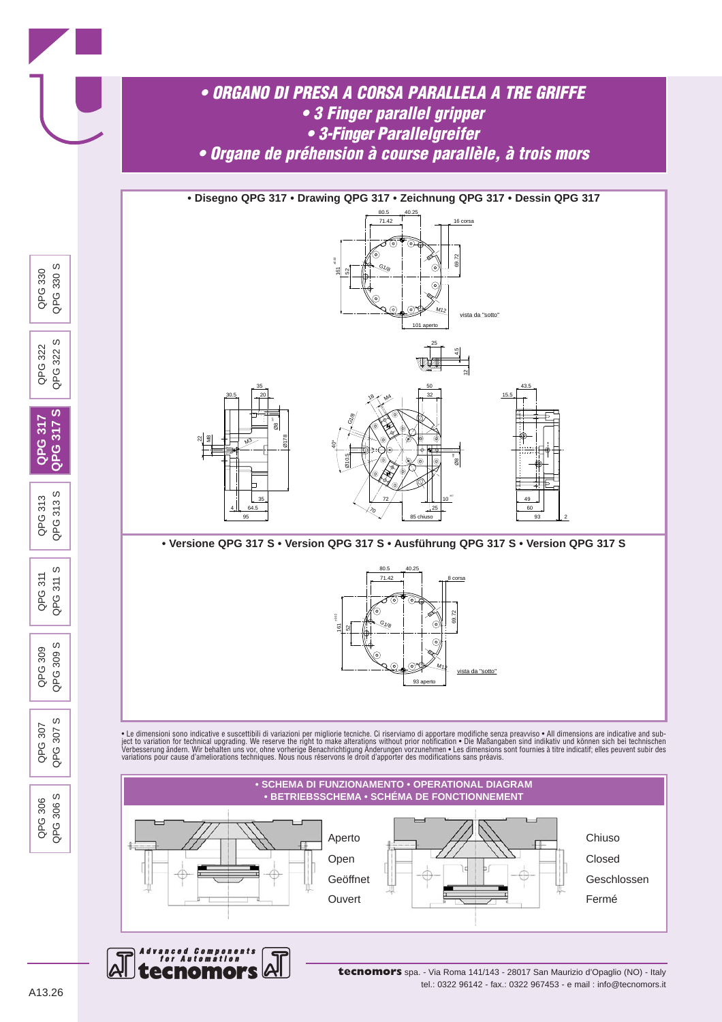

ecnomo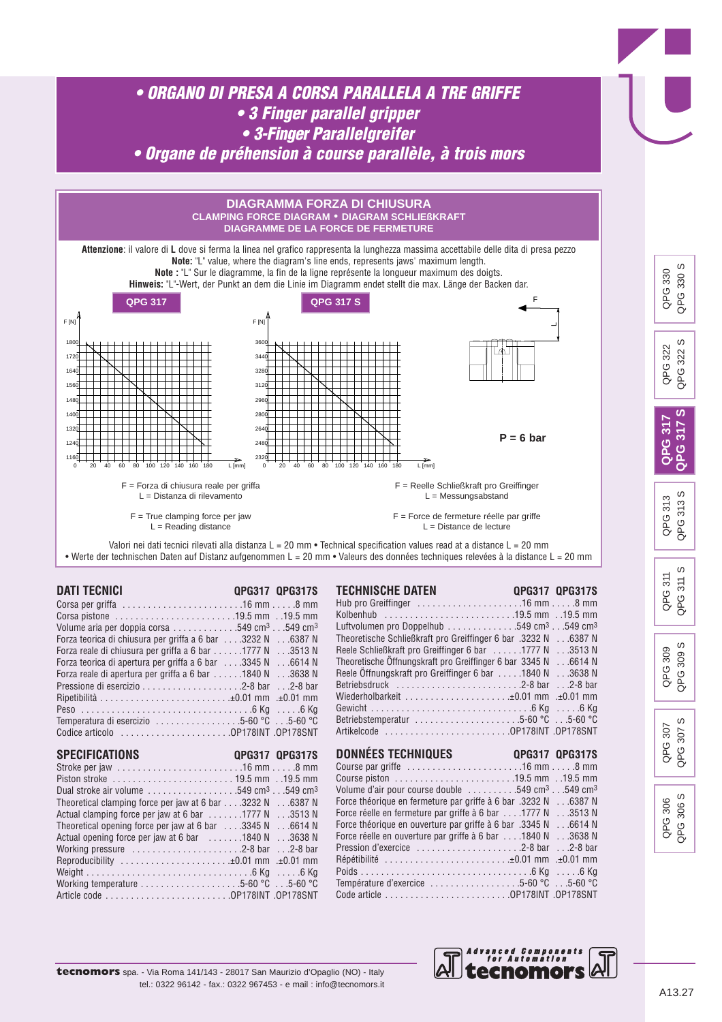

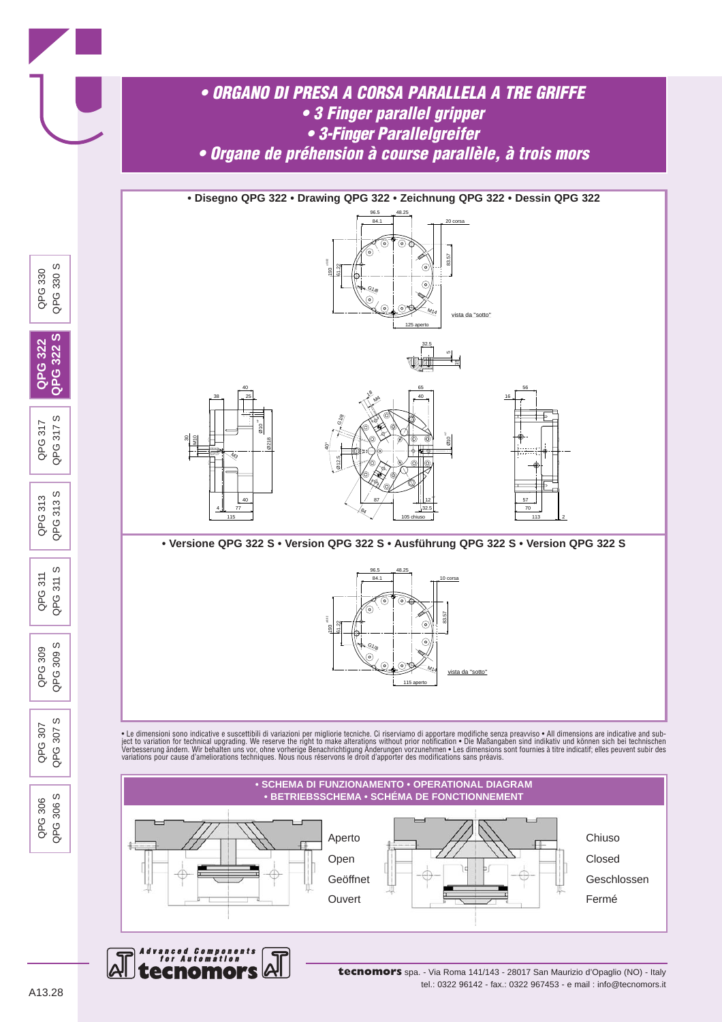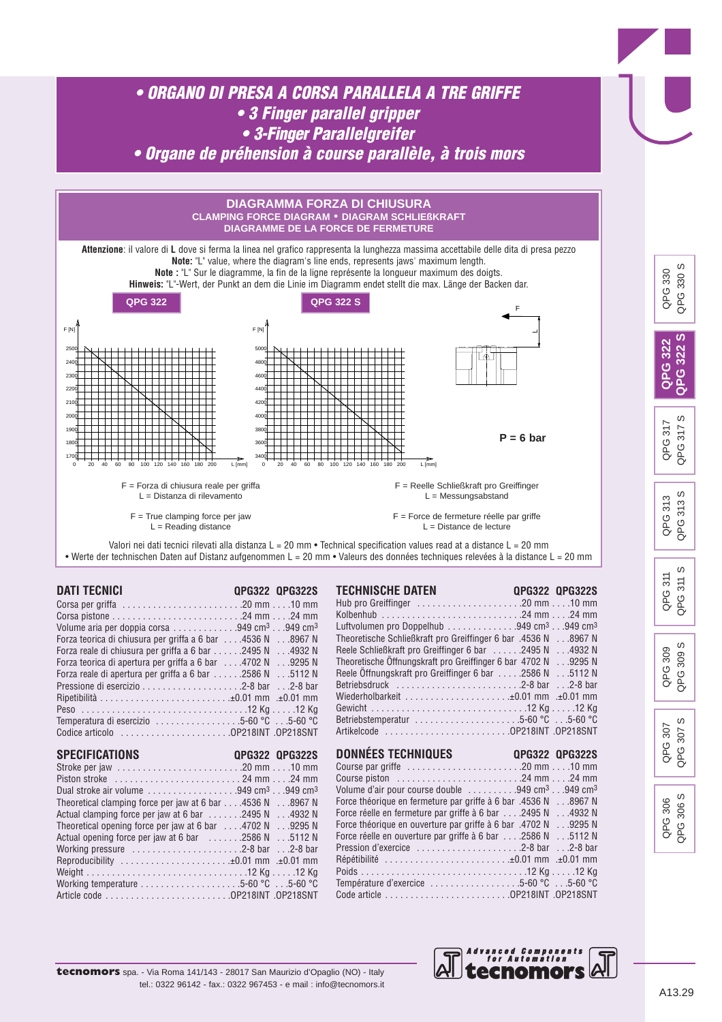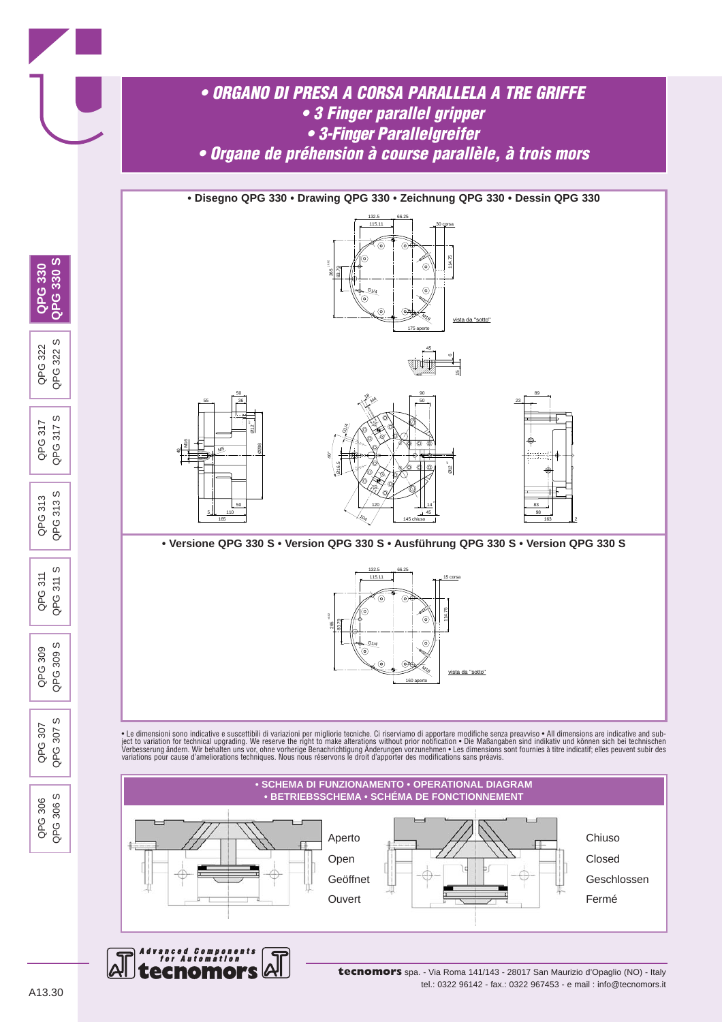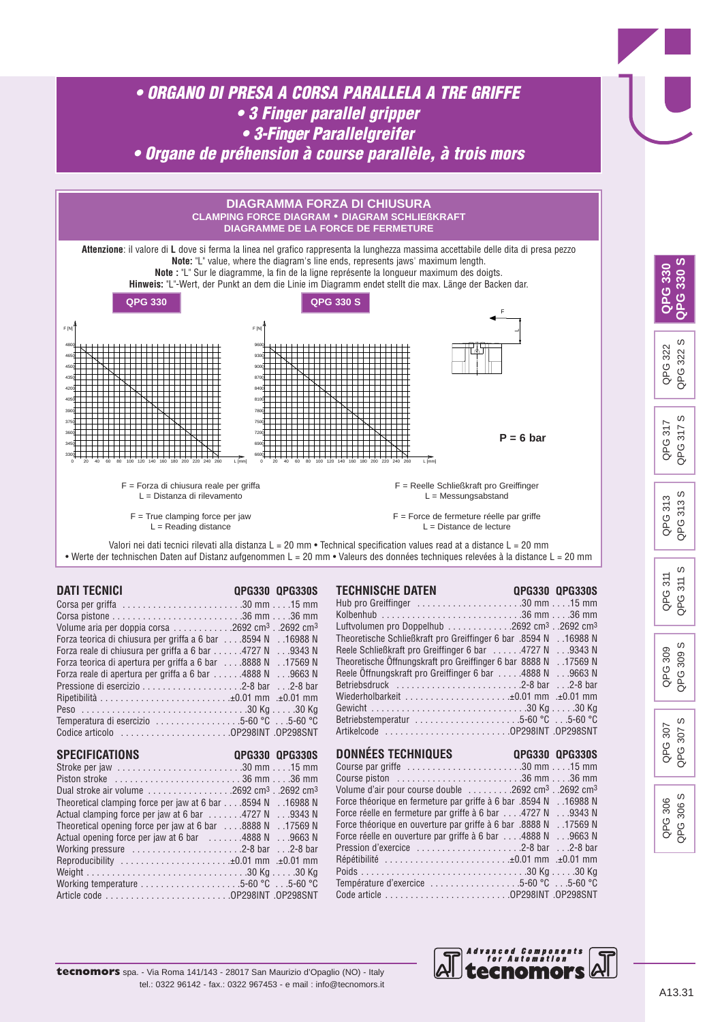

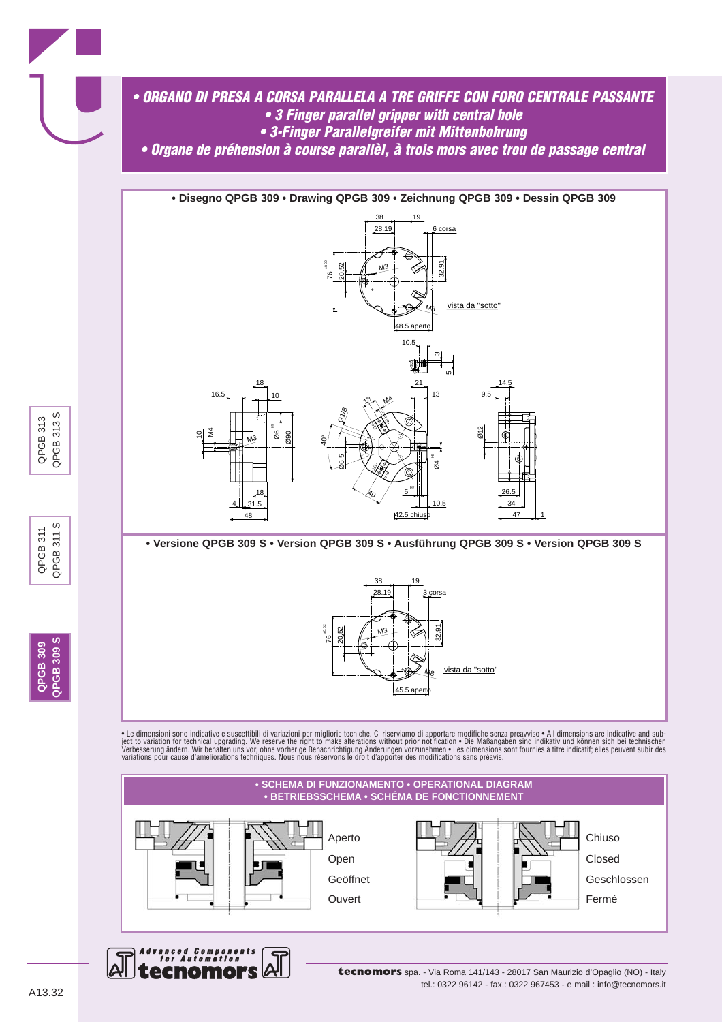







**QPGB 309 QPGB 309 S**

**2PGB 309 S** QPGB 309

QPGB 311 QPGB 311 S

 $\omega$  $311$ 

QPGB 311 QPGB3

QPGB 313 QPGB 313 S

QPGB 313 QPGB 313

S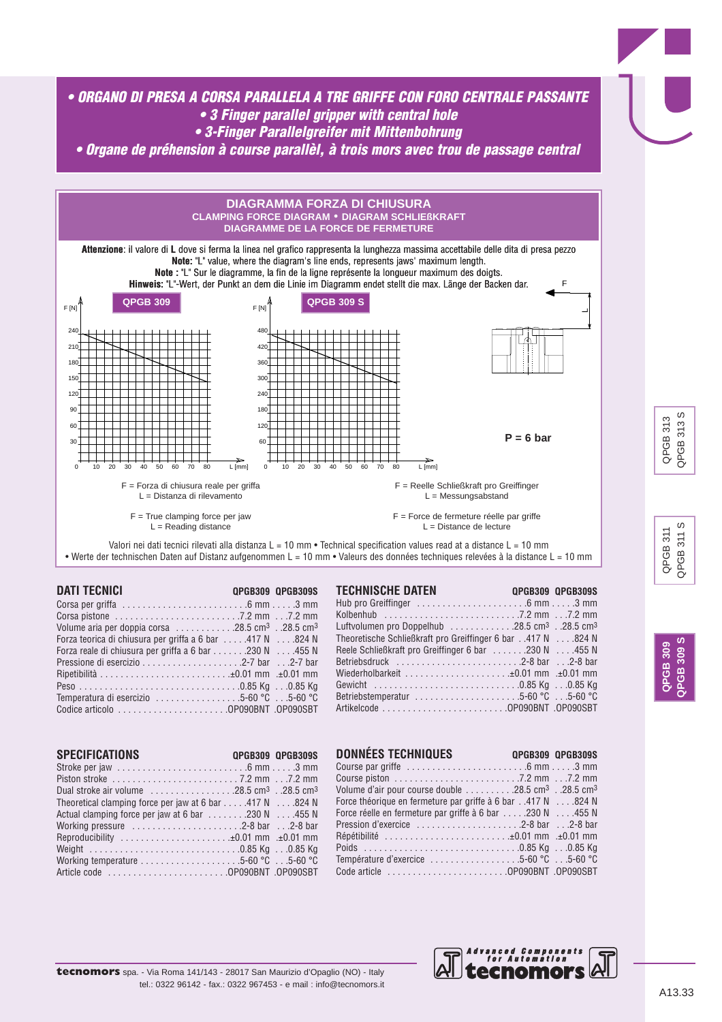*• ORGANO DI PRESA A CORSA PARALLELA A TRE GRIFFE CON FORO CENTRALE PASSANTE • 3 Finger parallel gripper with central hole • 3-Finger Parallelgreifer mit Mittenbohrung*

*• Organe de préhension à course parallèl, à trois mors avec trou de passage central*



| <b>DATI TECNICI</b>                                                                                           | OPGB309 OPGB309S |
|---------------------------------------------------------------------------------------------------------------|------------------|
| Corsa per griffa $\ldots \ldots \ldots \ldots \ldots \ldots \ldots \ldots \ldots$ . 6 mm $\ldots \ldots 3$ mm |                  |
|                                                                                                               |                  |
| Volume aria per doppia corsa $\ldots \ldots \ldots 28.5$ cm <sup>3</sup> 28.5 cm <sup>3</sup>                 |                  |
| Forza teorica di chiusura per griffa a 6 bar 417 N 824 N                                                      |                  |
| Forza reale di chiusura per griffa a 6 bar $\dots \dots 230$ N $\dots$ 455 N                                  |                  |
|                                                                                                               |                  |
|                                                                                                               |                  |
|                                                                                                               |                  |
| Temperatura di esercizio $\ldots \ldots \ldots \ldots \ldots 5$ -60 °C $\ldots$ .5-60 °C                      |                  |
|                                                                                                               |                  |

| I ELMNISLME DAIEN                                                                                 |  |
|---------------------------------------------------------------------------------------------------|--|
| Hub pro Greiffinger $\dots\dots\dots\dots\dots\dots\dots$ . 6 mm $\dots\dots$ 3 mm                |  |
|                                                                                                   |  |
| Luftvolumen pro Doppelhub $\ldots \ldots \ldots \ldots 28.5$ cm <sup>3</sup> 28.5 cm <sup>3</sup> |  |
| Theoretische Schließkraft pro Greiffinger 6 bar417 N824 N                                         |  |
| Reele Schließkraft pro Greiffinger 6 bar 230 N 455 N                                              |  |
| Betriebsdruck 2-8 bar 2-8 bar                                                                     |  |
| Wiederholbarkeit ±0.01 mm .±0.01 mm                                                               |  |
|                                                                                                   |  |
| Betriebstemperatur $\ldots \ldots \ldots \ldots \ldots \ldots \ldots 5$ -60 °C $\ldots$ 5-60 °C   |  |
|                                                                                                   |  |

| <b>SPECIFICATIONS</b>                                                                                 | OPGB309 OPGB309S |
|-------------------------------------------------------------------------------------------------------|------------------|
|                                                                                                       |                  |
|                                                                                                       |                  |
| Dual stroke air volume $\ldots \ldots \ldots \ldots \ldots 28.5$ cm <sup>3</sup> 28.5 cm <sup>3</sup> |                  |
| Theoretical clamping force per jaw at 6 bar 417 N 824 N                                               |                  |
| Actual clamping force per jaw at 6 bar 455 N                                                          |                  |
| Working pressure $\dots\dots\dots\dots\dots\dots$ . 2-8 bar $\dots$ 2-8 bar                           |                  |
| Reproducibility ±0.01 mm ±0.01 mm                                                                     |                  |
|                                                                                                       |                  |
| Working temperature $\ldots \ldots \ldots \ldots \ldots \ldots \ldots 5$ -60 °C $\ldots$ .5-60 °C     |                  |
|                                                                                                       |                  |

| <b>DONNÉES TECHNIQUES</b>                                                               | <b>QPGB309 QPGB309S</b> |
|-----------------------------------------------------------------------------------------|-------------------------|
| Course par griffe $\dots\dots\dots\dots\dots\dots\dots\dots$ . 6 mm $\dots$ . 3 mm      |                         |
|                                                                                         |                         |
| Volume d'air pour course double $\dots \dots 28.5$ cm <sup>3</sup> 28.5 cm <sup>3</sup> |                         |
| Force théorique en fermeture par griffe à 6 bar417 N824 N                               |                         |
| Force réelle en fermeture par griffe à 6 bar 230 N 455 N                                |                         |
|                                                                                         |                         |
| Répétibilité ±0.01 mm .±0.01 mm                                                         |                         |
|                                                                                         |                         |
| Température d'exercice 5-60 °C 5-60 °C                                                  |                         |
|                                                                                         |                         |



**QPGB 309 QPGB 309 S**

**PGB 309 GB 309**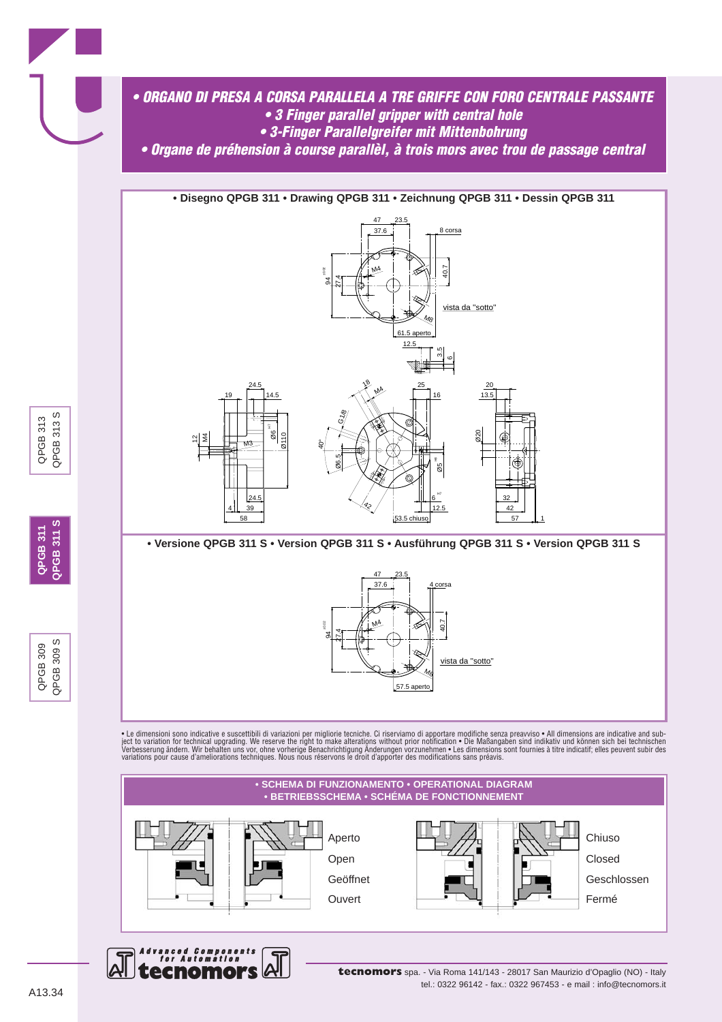







QPGB 309 QPGB 309 S

QPGB 309  $3008$ 

 $\omega$ 

QPGB3

**QPGB 311 QPGB 311 S**

**QPGB 311 S** QPGB 311

QPGB 313 QPGB 313 S

QPGB 313 QPGB 313

S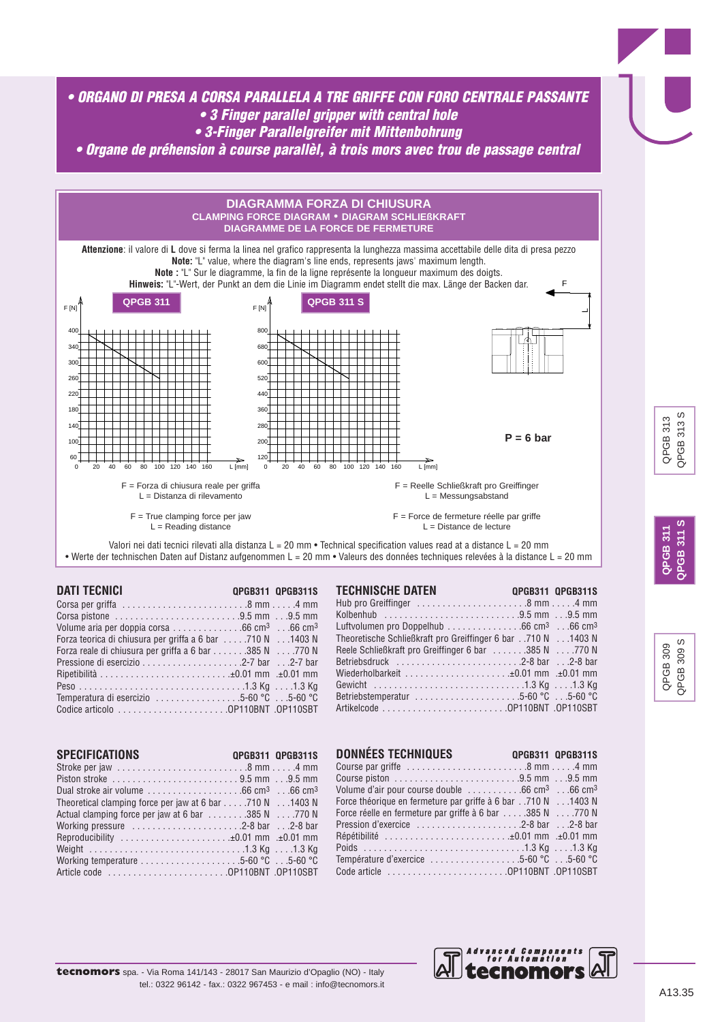



| <b>DATI TECNICI</b>                                                                                         | <b>QPGB311 QPGB311S</b> | <b>TECHNIS</b>    |
|-------------------------------------------------------------------------------------------------------------|-------------------------|-------------------|
| Corsa per griffa $\ldots \ldots \ldots \ldots \ldots \ldots \ldots \ldots \ldots$ .8 mm4 mm                 |                         | Hub pro G         |
|                                                                                                             |                         | Kolbenhub         |
| Volume aria per doppia corsa $\ldots \ldots \ldots \ldots$ . 66 cm <sup>3</sup> $\ldots$ 66 cm <sup>3</sup> |                         | Luftvolum         |
| Forza teorica di chiusura per griffa a 6 bar 710 N 1403 N                                                   |                         | <b>Theoretisc</b> |
| Forza reale di chiusura per griffa a 6 bar 385 N 770 N                                                      |                         | Reele Schl        |
|                                                                                                             |                         | Betriebsdr        |
|                                                                                                             |                         | Wiederholl        |
|                                                                                                             |                         | Gewicht,          |
| Temperatura di esercizio 5-60 °C 5-60 °C                                                                    |                         | Betriebster       |
|                                                                                                             |                         | Artikelcode       |
|                                                                                                             |                         |                   |

| I EUNINIOUNE DAI EN I<br><b>Example 19 UPGB311 UPGB311S</b>                                     |  |
|-------------------------------------------------------------------------------------------------|--|
| Hub pro Greiffinger $\dots\dots\dots\dots\dots\dots$ . 8 mm $\dots$ . 4 mm                      |  |
| Kolbenhub 9.5 mm 9.5 mm                                                                         |  |
| Luftvolumen pro Doppelhub 66 cm <sup>3</sup> 66 cm <sup>3</sup>                                 |  |
| Theoretische Schließkraft pro Greiffinger 6 bar 710 N 1403 N                                    |  |
| Reele Schließkraft pro Greiffinger 6 bar 385 N 770 N                                            |  |
| Betriebsdruck 2-8 bar 2-8 bar                                                                   |  |
|                                                                                                 |  |
|                                                                                                 |  |
| Betriebstemperatur $\ldots \ldots \ldots \ldots \ldots \ldots \ldots 5$ -60 °C $\ldots$ 5-60 °C |  |
|                                                                                                 |  |

| <b>SPECIFICATIONS</b>                                                                                        | <b>OPGB311 OPGB311S</b> |
|--------------------------------------------------------------------------------------------------------------|-------------------------|
|                                                                                                              |                         |
|                                                                                                              |                         |
| Dual stroke air volume $\ldots \ldots \ldots \ldots \ldots$ . 66 cm <sup>3</sup> $\ldots$ 66 cm <sup>3</sup> |                         |
| Theoretical clamping force per jaw at 6 bar 710 N 1403 N                                                     |                         |
| Actual clamping force per jaw at 6 bar 385 N 770 N                                                           |                         |
| Working pressure $\dots\dots\dots\dots\dots\dots$ . 2-8 bar $\dots$ 2-8 bar                                  |                         |
| Reproducibility ±0.01 mm .±0.01 mm                                                                           |                         |
|                                                                                                              |                         |
| Working temperature $\ldots \ldots \ldots \ldots \ldots \ldots \ldots 5$ -60 °C $\ldots$ .5-60 °C            |                         |
|                                                                                                              |                         |

| <b>DONNEES TECHNIQUES</b>                                                                            | <b>QPGB311 QPGB311S</b> |
|------------------------------------------------------------------------------------------------------|-------------------------|
| Course par griffe $\dots\dots\dots\dots\dots\dots\dots$ . 8 mm $\dots$ . 4 mm                        |                         |
|                                                                                                      |                         |
| Volume d'air pour course double $\dots\dots\dots\dots$ 66 cm <sup>3</sup> $\dots$ 66 cm <sup>3</sup> |                         |
| Force théorique en fermeture par griffe à 6 bar710 N1403 N                                           |                         |
| Force réelle en fermeture par griffe à 6 bar 385 N 770 N                                             |                         |
|                                                                                                      |                         |
| Répétibilité ±0.01 mm .±0.01 mm                                                                      |                         |
|                                                                                                      |                         |
| Température d'exercice $\ldots \ldots \ldots \ldots \ldots 5$ -60 °C $\ldots$ 5-60 °C                |                         |
|                                                                                                      |                         |



QPGB 309 QPGB 309 S

309 S

QPGB3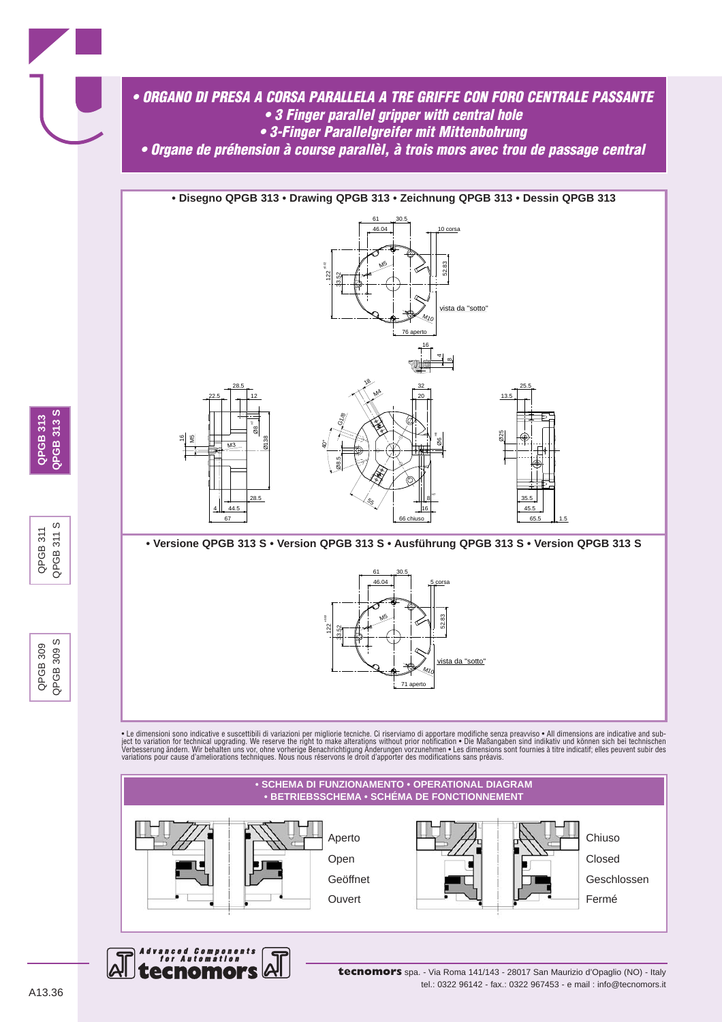







**tecnomors** spa. - Via Roma 141/143 - 28017 San Maurizio d'Opaglio (NO) - Italy tel.: 0322 96142 - fax.: 0322 967453 - e mail : info@tecnomors.it

QPGB 309 QPGB 309 S

QPGB 309 309 QPGB3

QPGB 311 QPGB 311 S

 $\omega$  $311$ 

QPGB 311 QPGB3

 $\omega$ 

**2PGB 313 S QPGB 313 SQPGB 313 QPGB 313**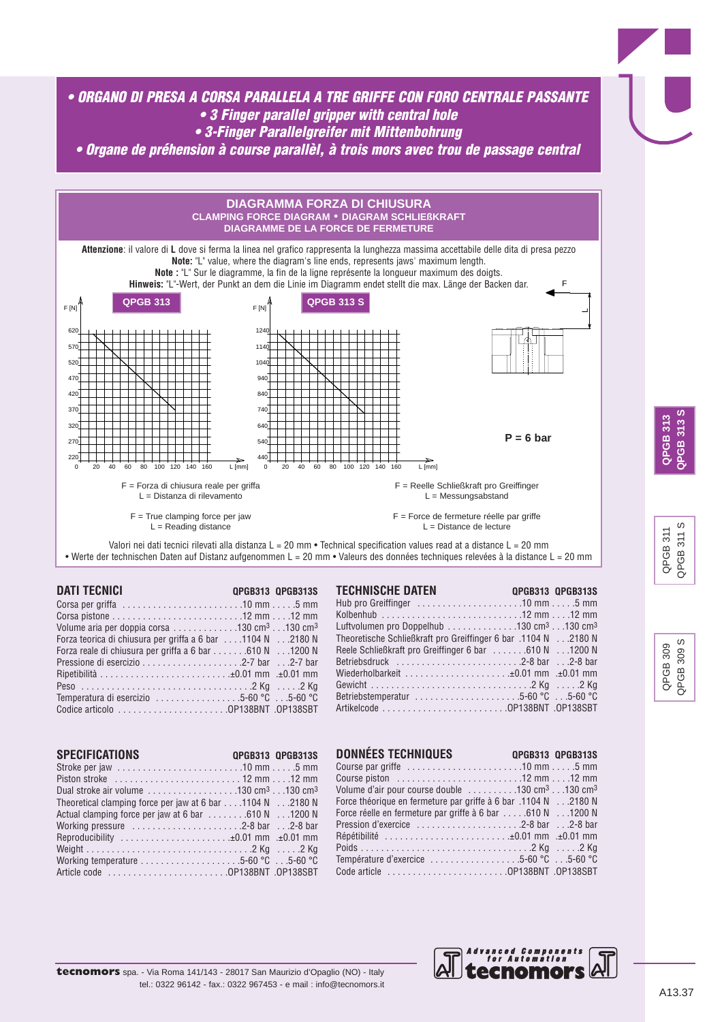





| <b>DATI TECNICI</b> | QPGB313 QPGB313S                                                                                            | <b>TECHNISCHE DATEN</b>                                                                                  | <b>QPGB313 QPGB313S</b> |
|---------------------|-------------------------------------------------------------------------------------------------------------|----------------------------------------------------------------------------------------------------------|-------------------------|
|                     | Corsa per griffa $\ldots \ldots \ldots \ldots \ldots \ldots \ldots \ldots 10$ mm $\ldots \ldots 5$ mm       |                                                                                                          |                         |
|                     | Corsa pistone $\ldots \ldots \ldots \ldots \ldots \ldots \ldots \ldots$ . 12 mm $\ldots$ 12 mm              |                                                                                                          |                         |
|                     | Volume aria per doppia corsa $\ldots \ldots \ldots \ldots 130$ cm <sup>3</sup> $\ldots$ 130 cm <sup>3</sup> | Luftvolumen pro Doppelhub $\ldots \ldots \ldots \ldots 130$ cm <sup>3</sup> $\ldots$ 130 cm <sup>3</sup> |                         |
|                     | Forza teorica di chiusura per griffa a 6 bar 1104 N 2180 N                                                  | Theoretische Schließkraft pro Greiffinger 6 bar .1104 N2180 N                                            |                         |
|                     | Forza reale di chiusura per griffa a 6 bar 610 N 1200 N                                                     | Reele Schließkraft pro Greiffinger 6 bar  610 N 1200 N                                                   |                         |
|                     |                                                                                                             | Betriebsdruck 2-8 bar 2-8 bar                                                                            |                         |
|                     |                                                                                                             | Wiederholbarkeit ±0.01 mm .±0.01 mm                                                                      |                         |
|                     |                                                                                                             |                                                                                                          |                         |
|                     | Temperatura di esercizio 5-60 °C 5-60 °C                                                                    | Betriebstemperatur 5-60 °C 5-60 °C                                                                       |                         |
|                     | Codice articolo $\ldots \ldots \ldots \ldots \ldots \ldots$ OP138BNT .OP138SBT                              |                                                                                                          |                         |
|                     |                                                                                                             |                                                                                                          |                         |

| <b>SPECIFICATIONS</b>                                                                                        | <b>OPGB313 OPGB313S</b> |
|--------------------------------------------------------------------------------------------------------------|-------------------------|
|                                                                                                              |                         |
|                                                                                                              |                         |
| Dual stroke air volume $\ldots \ldots \ldots \ldots \ldots 130$ cm <sup>3</sup> $\ldots$ 130 cm <sup>3</sup> |                         |
| Theoretical clamping force per jaw at 6 bar 1104 N 2180 N                                                    |                         |
| Actual clamping force per jaw at 6 bar 610 N 1200 N                                                          |                         |
| Working pressure $\dots\dots\dots\dots\dots\dots\dots$ . 2-8 bar $\dots$ 2-8 bar                             |                         |
| Reproducibility ±0.01 mm .±0.01 mm                                                                           |                         |
|                                                                                                              |                         |
| Working temperature $\ldots \ldots \ldots \ldots \ldots \ldots \ldots 5$ -60 °C $\ldots$ .5-60 °C            |                         |
|                                                                                                              |                         |

| Reele Schließkraft pro Greiffinger 6 bar 610 N 1200 N                                      |                         |
|--------------------------------------------------------------------------------------------|-------------------------|
| Betriebsdruck $\ldots \ldots \ldots \ldots \ldots \ldots \ldots \ldots$ . 2-8 bar  2-8 bar |                         |
|                                                                                            |                         |
|                                                                                            |                         |
|                                                                                            |                         |
|                                                                                            |                         |
|                                                                                            |                         |
|                                                                                            |                         |
|                                                                                            |                         |
| <b>DONNÉES TECHNIQUES</b>                                                                  | <b>OPGB313 OPGB313S</b> |
| Course par griffe $\dots\dots\dots\dots\dots\dots\dots$ . 10 mm $\dots$ . 5 mm             |                         |
| Course piston <b>Course 12 mm</b> 12 mm                                                    |                         |

| Volume d'air pour course double $\dots\dots\dots130$ cm <sup>3</sup> $\dots$ 130 cm <sup>3</sup> |  |
|--------------------------------------------------------------------------------------------------|--|
| Force théorique en fermeture par griffe à 6 bar .1104 N2180 N                                    |  |
| Force réelle en fermeture par griffe à 6 bar 610 N 1200 N                                        |  |
|                                                                                                  |  |
| Répétibilité ±0.01 mm .±0.01 mm                                                                  |  |
|                                                                                                  |  |
| Température d'exercice $\ldots \ldots \ldots \ldots \ldots 5$ -60 °C $\ldots$ 5-60 °C            |  |
| Code article $\dots\dots\dots\dots\dots\dots\dots$ . OP138BNT .OP138SBT                          |  |



 $\omega$ QPGB 311 S  $311$ QPGB 311 QPGB 311 QPGB3

ဖ QPGB 309 S QPGB 309 300<sub>5</sub> QPGB 309 QPGB3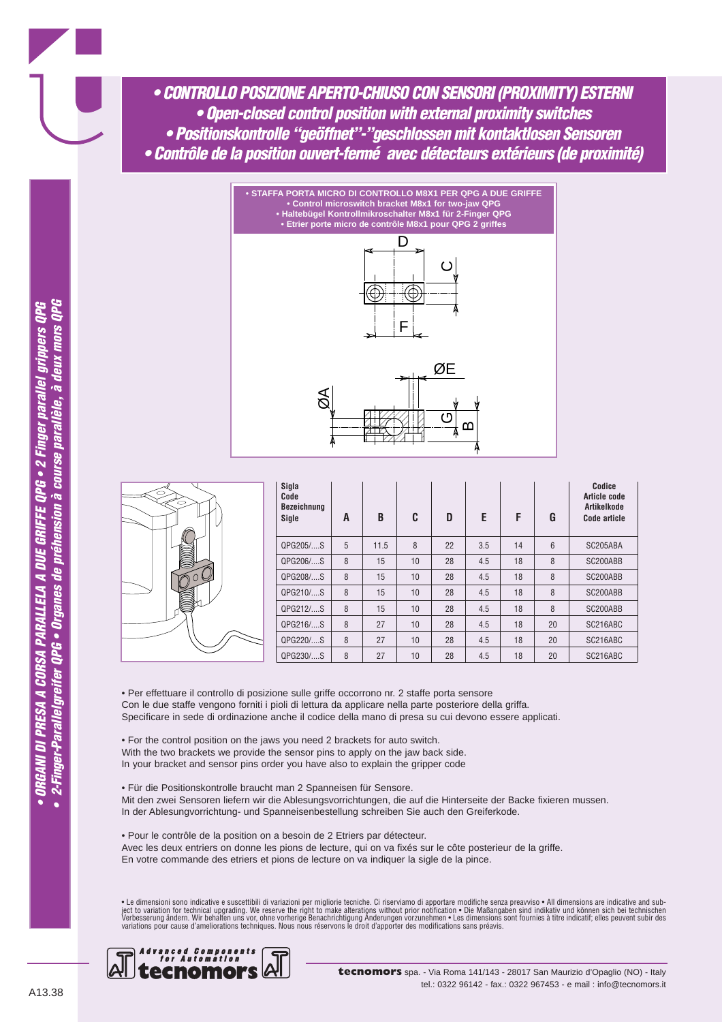*• CONTROLLO POSIZIONE APERTO-CHIUSO CON SENSORI (PROXIMITY) ESTERNI • Open-closed control position with external proximity switches • Positionskontrolle "geöffnet"-"geschlossen mit kontaktlosen Sensoren • Contrôle de la position ouvert-fermé avec détecteurs extérieurs (de proximité)*





| Sigla<br>Code<br><b>Bezeichnung</b><br>Sigle | A | B    | C  | D  | E   | F  | G  | Codice<br>Article code<br>Artikelkode<br>Code article |
|----------------------------------------------|---|------|----|----|-----|----|----|-------------------------------------------------------|
| QPG205/S                                     | 5 | 11.5 | 8  | 22 | 3.5 | 14 | 6  | SC205ABA                                              |
| QPG206/S                                     | 8 | 15   | 10 | 28 | 4.5 | 18 | 8  | SC200ABB                                              |
| QPG208/S                                     | 8 | 15   | 10 | 28 | 4.5 | 18 | 8  | SC200ABB                                              |
| QPG210/S                                     | 8 | 15   | 10 | 28 | 4.5 | 18 | 8  | SC200ABB                                              |
| QPG212/S                                     | 8 | 15   | 10 | 28 | 4.5 | 18 | 8  | SC200ABB                                              |
| QPG216/S                                     | 8 | 27   | 10 | 28 | 4.5 | 18 | 20 | SC216ABC                                              |
| QPG220/S                                     | 8 | 27   | 10 | 28 | 4.5 | 18 | 20 | SC216ABC                                              |
| QPG230/S                                     | 8 | 27   | 10 | 28 | 4.5 | 18 | 20 | SC216ABC                                              |

• Per effettuare il controllo di posizione sulle griffe occorrono nr. 2 staffe porta sensore Con le due staffe vengono forniti i pioli di lettura da applicare nella parte posteriore della griffa. Specificare in sede di ordinazione anche il codice della mano di presa su cui devono essere applicati.

• For the control position on the jaws you need 2 brackets for auto switch. With the two brackets we provide the sensor pins to apply on the jaw back side. In your bracket and sensor pins order you have also to explain the gripper code

• Für die Positionskontrolle braucht man 2 Spanneisen für Sensore. Mit den zwei Sensoren liefern wir die Ablesungsvorrichtungen, die auf die Hinterseite der Backe fixieren mussen. In der Ablesungvorrichtung- und Spanneisenbestellung schreiben Sie auch den Greiferkode.

• Pour le contrôle de la position on a besoin de 2 Etriers par détecteur. Avec les deux entriers on donne les pions de lecture, qui on va fixés sur le côte posterieur de la griffe. En votre commande des etriers et pions de lecture on va indiquer la sigle de la pince.

• Le dimensioni sono indicative e suscettibili di variazioni per migliorie tecniche. Ci riserviamo di apportare modifiche senza preavviso • All dimensions are indicative and sub-<br>ject to variation for technical upgrading.

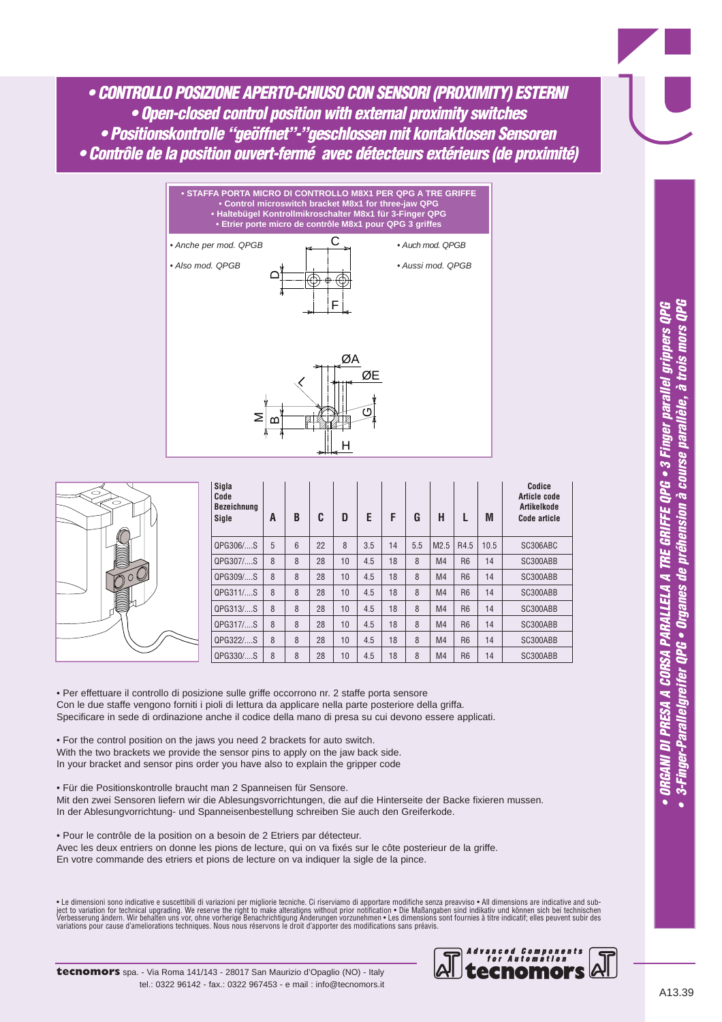*• CONTROLLO POSIZIONE APERTO-CHIUSO CON SENSORI (PROXIMITY) ESTERNI • Open-closed control position with external proximity switches • Positionskontrolle "geöffnet"-"geschlossen mit kontaktlosen Sensoren • Contrôle de la position ouvert-fermé avec détecteurs extérieurs (de proximité)*





| Sigla<br>Code<br><b>Bezeichnung</b><br>Sigle | A | B | C  | D  | E   | F  | G   | н              |                | M    | Codice<br>Article code<br><b>Artikelkode</b><br>Code article |
|----------------------------------------------|---|---|----|----|-----|----|-----|----------------|----------------|------|--------------------------------------------------------------|
| QPG306/S                                     | 5 | 6 | 22 | 8  | 3.5 | 14 | 5.5 | M2.5           | R4.5           | 10.5 | SC306ABC                                                     |
| QPG307/S                                     | 8 | 8 | 28 | 10 | 4.5 | 18 | 8   | M <sub>4</sub> | R <sub>6</sub> | 14   | SC300ABB                                                     |
| QPG309/S                                     | 8 | 8 | 28 | 10 | 4.5 | 18 | 8   | M <sub>4</sub> | R <sub>6</sub> | 14   | SC300ABB                                                     |
| QPG311/S                                     | 8 | 8 | 28 | 10 | 4.5 | 18 | 8   | M <sub>4</sub> | R <sub>6</sub> | 14   | SC300ABB                                                     |
| QPG313/S                                     | 8 | 8 | 28 | 10 | 4.5 | 18 | 8   | M <sub>4</sub> | <b>R6</b>      | 14   | SC300ABB                                                     |
| QPG317/S                                     | 8 | 8 | 28 | 10 | 4.5 | 18 | 8   | M <sub>4</sub> | R <sub>6</sub> | 14   | SC300ABB                                                     |
| QPG322/S                                     | 8 | 8 | 28 | 10 | 4.5 | 18 | 8   | M <sub>4</sub> | R <sub>6</sub> | 14   | SC300ABB                                                     |
| QPG330/S                                     | 8 | 8 | 28 | 10 | 4.5 | 18 | 8   | M <sub>4</sub> | R <sub>6</sub> | 14   | SC300ABB                                                     |

• Per effettuare il controllo di posizione sulle griffe occorrono nr. 2 staffe porta sensore Con le due staffe vengono forniti i pioli di lettura da applicare nella parte posteriore della griffa. Specificare in sede di ordinazione anche il codice della mano di presa su cui devono essere applicati.

• For the control position on the jaws you need 2 brackets for auto switch. With the two brackets we provide the sensor pins to apply on the jaw back side. In your bracket and sensor pins order you have also to explain the gripper code

• Für die Positionskontrolle braucht man 2 Spanneisen für Sensore. Mit den zwei Sensoren liefern wir die Ablesungsvorrichtungen, die auf die Hinterseite der Backe fixieren mussen. In der Ablesungvorrichtung- und Spanneisenbestellung schreiben Sie auch den Greiferkode.

• Pour le contrôle de la position on a besoin de 2 Etriers par détecteur.

Avec les deux entriers on donne les pions de lecture, qui on va fixés sur le côte posterieur de la griffe. En votre commande des etriers et pions de lecture on va indiquer la sigle de la pince.

• Le dimensioni sono indicative e suscettibili di variazioni per migliorie tecniche. Ci riserviamo di apportare modifiche senza preavviso • All dimensions are indicative and sub-<br>ject to variation for technical upgrading.

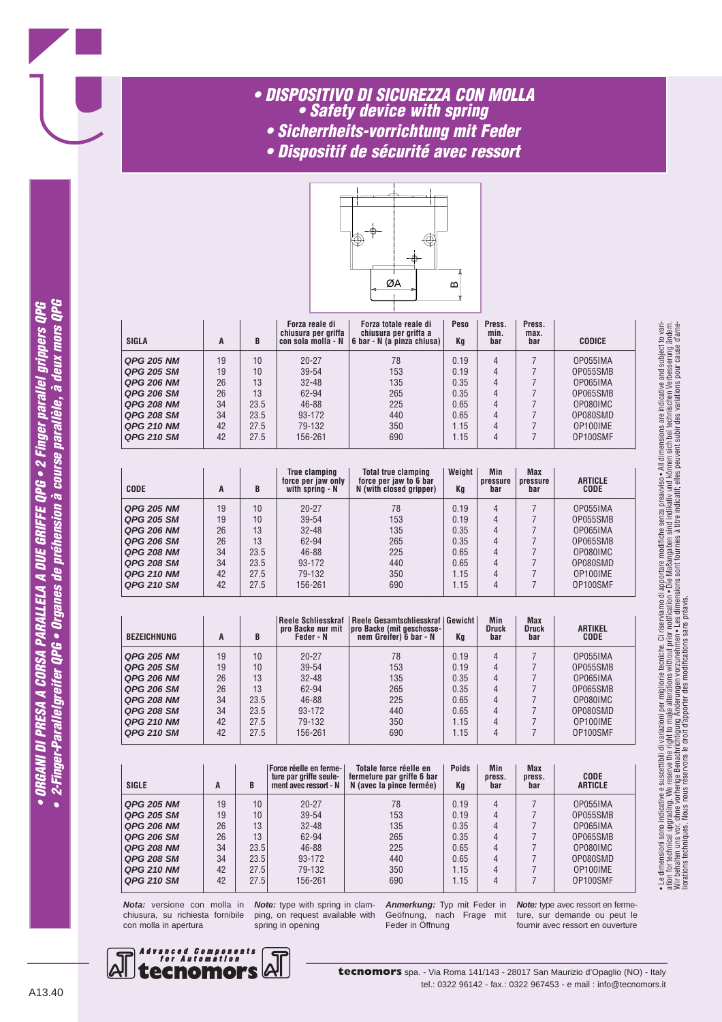#### *• DISPOSITIVO DI SICUREZZA CON MOLLA • Safety device with spring • Sicherrheits-vorrichtung mit Feder*

- *Dispositif de sécurité avec ressort*
- 



| <b>SIGLA</b>      | A  | B    | Forza reale di<br>chiusura per griffa<br>con sola molla - N | Forza totale reale di<br>  chiusura per griffa a<br>  6 bar - N (a pinza chiusa) | <b>Peso</b><br>Kq | Press.<br>min.<br>bar | Press.<br>max.<br>bar | <b>CODICE</b> |
|-------------------|----|------|-------------------------------------------------------------|----------------------------------------------------------------------------------|-------------------|-----------------------|-----------------------|---------------|
| <b>QPG 205 NM</b> | 19 | 10   | $20 - 27$                                                   | 78                                                                               | 0.19              | 4                     |                       | OP055IMA      |
| <b>QPG 205 SM</b> | 19 | 10   | $39 - 54$                                                   | 153                                                                              | 0.19              | 4                     |                       | OP055SMB      |
| <b>QPG 206 NM</b> | 26 | 13   | $32 - 48$                                                   | 135                                                                              | 0.35              | 4                     |                       | OP065IMA      |
| <b>QPG 206 SM</b> | 26 | 13   | 62-94                                                       | 265                                                                              | 0.35              | 4                     |                       | OP065SMB      |
| <b>QPG 208 NM</b> | 34 | 23.5 | $46 - 88$                                                   | 225                                                                              | 0.65              | 4                     |                       | OP080IMC      |
| <b>QPG 208 SM</b> | 34 | 23.5 | 93-172                                                      | 440                                                                              | 0.65              | 4                     |                       | OP080SMD      |
| <b>QPG 210 NM</b> | 42 | 27.5 | 79-132                                                      | 350                                                                              | 1.15              | 4                     |                       | OP100IME      |
| <b>QPG 210 SM</b> | 42 | 27.5 | 156-261                                                     | 690                                                                              | 1.15              | 4                     |                       | OP100SMF      |

—————————————————————————————————————————————————————————

| <b>CODE</b>       | A  | B    | True clamping<br>force per jaw only<br>with spring - N | Total true clamping<br>force per jaw to 6 bar<br>N (with closed gripper) | Weight<br>Кg | Min<br>pressure<br>bar | Max<br>pressure<br>bar | <b>ARTICLE</b><br><b>CODE</b> |
|-------------------|----|------|--------------------------------------------------------|--------------------------------------------------------------------------|--------------|------------------------|------------------------|-------------------------------|
| <b>QPG 205 NM</b> | 19 | 10   | $20 - 27$                                              | 78                                                                       | 0.19         | 4                      |                        | OP055IMA                      |
| <b>QPG 205 SM</b> | 19 | 10   | $39 - 54$                                              | 153                                                                      | 0.19         | 4                      |                        | OP055SMB                      |
| <b>QPG 206 NM</b> | 26 | 13   | $32 - 48$                                              | 135                                                                      | 0.35         | 4                      |                        | OP065IMA                      |
| <b>QPG 206 SM</b> | 26 | 13   | 62-94                                                  | 265                                                                      | 0.35         | 4                      |                        | OP065SMB                      |
| <b>QPG 208 NM</b> | 34 | 23.5 | 46-88                                                  | 225                                                                      | 0.65         | 4                      |                        | OP080IMC                      |
| <b>QPG 208 SM</b> | 34 | 23.5 | 93-172                                                 | 440                                                                      | 0.65         | 4                      |                        | OP080SMD                      |
| <b>QPG 210 NM</b> | 42 | 27.5 | 79-132                                                 | 350                                                                      | 1.15         | 4                      |                        | OP100IME                      |
| <b>QPG 210 SM</b> | 42 | 27.5 | 156-261                                                | 690                                                                      | 1.15         | 4                      |                        | OP100SMF                      |

| <b>BEZEICHNUNG</b> | A  | B    | Reele Schliesskraf  <br>pro Backe nur mit<br>Feder - N | Reele Gesamtschliesskraf   Gewicht  <br>pro Backe (mit geschosse-<br>nem Greifer) 6 bar - N | Kq   | Min<br>Druck<br>bar | Max<br><b>Druck</b><br>bar | <b>ARTIKEL</b><br><b>CODE</b> |
|--------------------|----|------|--------------------------------------------------------|---------------------------------------------------------------------------------------------|------|---------------------|----------------------------|-------------------------------|
| <b>QPG 205 NM</b>  | 19 | 10   | $20 - 27$                                              | 78                                                                                          | 0.19 | 4                   |                            | OP055IMA                      |
| <b>QPG 205 SM</b>  | 19 | 10   | $39 - 54$                                              | 153                                                                                         | 0.19 | 4                   |                            | OP055SMB                      |
| <b>QPG 206 NM</b>  | 26 | 13   | $32 - 48$                                              | 135                                                                                         | 0.35 | 4                   |                            | OP065IMA                      |
| QPG 206 SM         | 26 | 13   | 62-94                                                  | 265                                                                                         | 0.35 | 4                   |                            | OP065SMB                      |
| <b>QPG 208 NM</b>  | 34 | 23.5 | 46-88                                                  | 225                                                                                         | 0.65 | 4                   |                            | OP080IMC                      |
| <b>QPG 208 SM</b>  | 34 | 23.5 | 93-172                                                 | 440                                                                                         | 0.65 | 4                   |                            | OP080SMD                      |
| <b>QPG 210 NM</b>  | 42 | 27.5 | 79-132                                                 | 350                                                                                         | 1.15 | 4                   |                            | OP100IME                      |
| <b>QPG 210 SM</b>  | 42 | 27.5 | 156-261                                                | 690                                                                                         | 1.15 | $\overline{4}$      |                            | OP100SMF                      |

| <b>SIGLE</b>      | A  | B    | Force réelle en ferme- <br>ture par griffe seule-<br>ment avec ressort - N | Totale force réelle en<br>fermeture par griffe 6 bar<br>N (avec la pince fermée) | <b>Poids</b><br>Kq | Min<br>press.<br>bar | <b>Max</b><br>press.<br>bar | <b>CODE</b><br><b>ARTICLE</b> |
|-------------------|----|------|----------------------------------------------------------------------------|----------------------------------------------------------------------------------|--------------------|----------------------|-----------------------------|-------------------------------|
| <b>QPG 205 NM</b> | 19 | 10   | $20 - 27$                                                                  | 78                                                                               | 0.19               | 4                    |                             | OP055IMA                      |
| <b>QPG 205 SM</b> | 19 | 10   | 39-54                                                                      | 153                                                                              | 0.19               | 4                    |                             | OP055SMB                      |
| <b>QPG 206 NM</b> | 26 | 13   | $32 - 48$                                                                  | 135                                                                              | 0.35               | 4                    |                             | OP065IMA                      |
| <b>QPG 206 SM</b> | 26 | 13   | 62-94                                                                      | 265                                                                              | 0.35               | 4                    |                             | OP065SMB                      |
| <b>QPG 208 NM</b> | 34 | 23.5 | 46-88                                                                      | 225                                                                              | 0.65               | 4                    |                             | OP080IMC                      |
| <b>QPG 208 SM</b> | 34 | 23.5 | 93-172                                                                     | 440                                                                              | 0.65               | 4                    |                             | OP080SMD                      |
| <b>QPG 210 NM</b> | 42 | 27.5 | 79-132                                                                     | 350                                                                              | 1.15               | 4                    |                             | OP100IME                      |
| <b>QPG 210 SM</b> | 42 | 27.5 | 156-261                                                                    | 690                                                                              | 1.15               | 4                    |                             | OP100SMF                      |

**Nota:** versione con molla in chiusura, su richiesta fornibile con molla in apertura

**Note:** type with spring in clamping, on request available with spring in opening

**Anmerkung:** Typ mit Feder in Geöfnung, nach Frage mit Feder in Öffnung

**Note:** type avec ressort en fermeture, sur demande ou peut le fournir avec ressort en ouverture

• Le dimensioni sono indicative e suscettibili di variazioni per migliorie tecniche. Ci riserviamo di apportare modifiche senza preavviso • All dimensions are indicative and subject to variation for technical upgrading. We reserve the right to make alterations without prior notification • Die Maßangaben sind indikativ und können sin bei technischen Verbesserung ändern.<br>Wir behalten uns vor, ohne vorherige Be

• Le dimensioni sono indicative e suscettbili di variazioni per miglione teoriche. Ci riserviano di apportare modifiche senza preavviso• All dimensions are indicative and subject to vari-<br>ation for technical upgrading. We

liorations techniques. Nous nous réservons le droit d'apporter des modifications sans préavis.

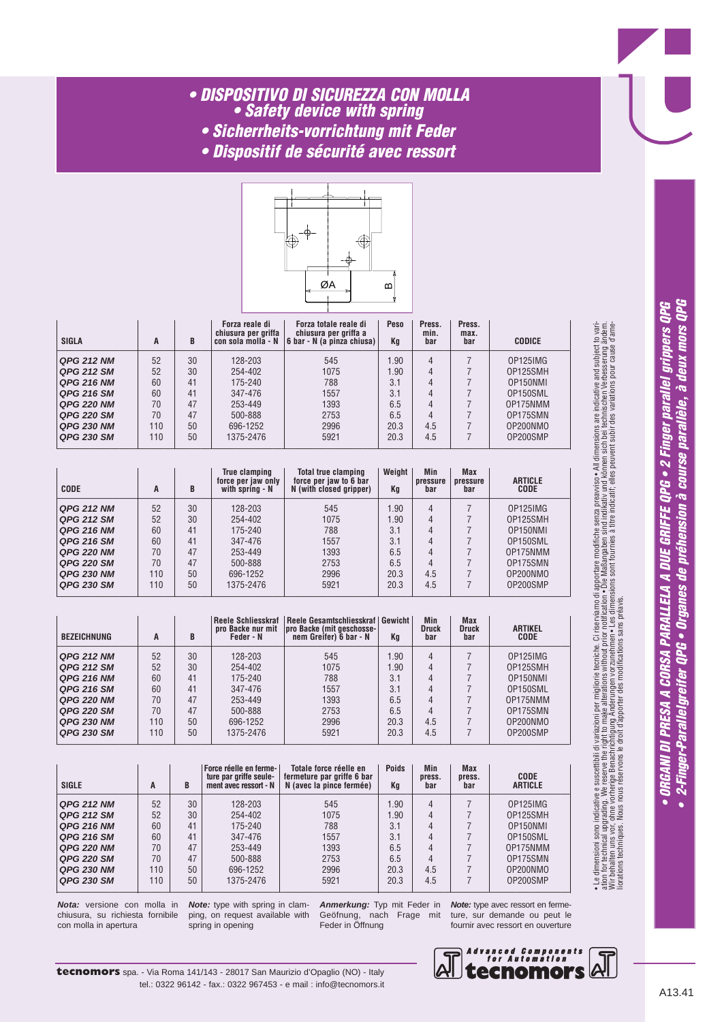## *• DISPOSITIVO DI SICUREZZA CON MOLLA • Safety device with spring*

- *Sicherrheits-vorrichtung mit Feder*
- *Dispositif de sécurité avec ressort*



| SIGLA             | A   | B  | Forza reale di<br>chiusura per griffa | Forza totale reale di<br>chiusura per griffa a<br>con sola molla - N 6 bar - N (a pinza chiusa) | Peso<br>Кq | Press.<br>min.<br>bar | Press.<br>max.<br>bar | <b>CODICE</b> |
|-------------------|-----|----|---------------------------------------|-------------------------------------------------------------------------------------------------|------------|-----------------------|-----------------------|---------------|
| <b>QPG 212 NM</b> | 52  | 30 | 128-203                               | 545                                                                                             | .90        | 4                     |                       | OP125IMG      |
| <b>QPG 212 SM</b> | 52  | 30 | 254-402                               | 1075                                                                                            | .90        | 4                     |                       | OP125SMH      |
| <b>QPG 216 NM</b> | 60  | 41 | 175-240                               | 788                                                                                             | 3.1        |                       |                       | OP150NMI      |
| <b>QPG 216 SM</b> | 60  | 41 | 347-476                               | 1557                                                                                            | 3.1        |                       |                       | OP150SML      |
| <b>QPG 220 NM</b> | 70  | 47 | 253-449                               | 1393                                                                                            | 6.5        | 4                     |                       | OP175NMM      |
| <b>QPG 220 SM</b> | 70  | 47 | 500-888                               | 2753                                                                                            | 6.5        |                       |                       | OP175SMN      |
| <b>QPG 230 NM</b> | 110 | 50 | 696-1252                              | 2996                                                                                            | 20.3       | 4.5                   |                       | OP200NMO      |
| <b>QPG 230 SM</b> | 110 | 50 | 1375-2476                             | 5921                                                                                            | 20.3       | 4.5                   |                       | OP200SMP      |

—————————————————————————————————————————————————————————

| <b>CODE</b>       | A   | B  | <b>True clamping</b><br>force per jaw only<br>with spring - N | <b>Total true clamping</b><br>force per jaw to 6 bar<br>N (with closed gripper) | Weight<br>Kg | Min<br>pressure<br>bar | <b>Max</b><br>pressure<br>bar | <b>ARTICLE</b><br><b>CODE</b> |
|-------------------|-----|----|---------------------------------------------------------------|---------------------------------------------------------------------------------|--------------|------------------------|-------------------------------|-------------------------------|
| <b>QPG 212 NM</b> | 52  | 30 | 128-203                                                       | 545                                                                             | .90          | 4                      |                               | OP125IMG                      |
| <b>QPG 212 SM</b> | 52  | 30 | 254-402                                                       | 1075                                                                            | .90          | 4                      |                               | OP125SMH                      |
| <b>QPG 216 NM</b> | 60  | 41 | 175-240                                                       | 788                                                                             | 3.1          | 4                      |                               | OP150NMI                      |
| <b>QPG 216 SM</b> | 60  | 41 | 347-476                                                       | 1557                                                                            | 3.1          | 4                      |                               | OP150SML                      |
| <b>QPG 220 NM</b> | 70  | 47 | 253-449                                                       | 1393                                                                            | 6.5          | 4                      |                               | OP175NMM                      |
| <b>QPG 220 SM</b> | 70  | 47 | 500-888                                                       | 2753                                                                            | 6.5          | 4                      |                               | OP175SMN                      |
| <b>QPG 230 NM</b> | 110 | 50 | 696-1252                                                      | 2996                                                                            | 20.3         | 4.5                    |                               | OP200NMO                      |
| <b>QPG 230 SM</b> | 110 | 50 | 1375-2476                                                     | 5921                                                                            | 20.3         | 4.5                    |                               | OP200SMP                      |

| <b>BEZEICHNUNG</b> | A   | B  | Reele Schliesskraf<br>pro Backe nur mit<br>Feder - N | Reele Gesamtschliesskraf   Gewicht  <br>pro Backe (mit geschosse-<br>nem Greifer) 6 bar - N | Kq   | <b>Min</b><br><b>Druck</b><br>bar | <b>Max</b><br><b>Druck</b><br>bar | <b>ARTIKEL</b><br><b>CODE</b> |
|--------------------|-----|----|------------------------------------------------------|---------------------------------------------------------------------------------------------|------|-----------------------------------|-----------------------------------|-------------------------------|
| <b>QPG 212 NM</b>  | 52  | 30 | 128-203                                              | 545                                                                                         | 1.90 | 4                                 |                                   | OP125IMG                      |
| <b>QPG 212 SM</b>  | 52  | 30 | 254-402                                              | 1075                                                                                        | 1.90 | 4                                 |                                   | OP125SMH                      |
| <b>QPG 216 NM</b>  | 60  | 41 | 175-240                                              | 788                                                                                         | 3.1  | 4                                 |                                   | OP150NMI                      |
| <b>QPG 216 SM</b>  | 60  | 41 | 347-476                                              | 1557                                                                                        | 3.1  | 4                                 |                                   | OP150SML                      |
| <b>QPG 220 NM</b>  | 70  | 47 | 253-449                                              | 1393                                                                                        | 6.5  | 4                                 |                                   | OP175NMM                      |
| <b>QPG 220 SM</b>  | 70  | 47 | 500-888                                              | 2753                                                                                        | 6.5  |                                   |                                   | OP175SMN                      |
| <b>QPG 230 NM</b>  | 110 | 50 | 696-1252                                             | 2996                                                                                        | 20.3 | 4.5                               |                                   | OP200NMO                      |
| <b>QPG 230 SM</b>  | 110 | 50 | 1375-2476                                            | 5921                                                                                        | 20.3 | 4.5                               |                                   | OP200SMP                      |

| <b>SIGLE</b>      | A   | B  | Force réelle en ferme-<br>ture par griffe seule-<br>ment avec ressort - N | Totale force réelle en<br>fermeture par griffe 6 bar<br>N (avec la pince fermée) | <b>Poids</b><br>Kq | <b>Min</b><br>press.<br>bar | <b>Max</b><br>press.<br>bar | <b>CODE</b><br><b>ARTICLE</b> |
|-------------------|-----|----|---------------------------------------------------------------------------|----------------------------------------------------------------------------------|--------------------|-----------------------------|-----------------------------|-------------------------------|
| <b>QPG 212 NM</b> | 52  | 30 | 128-203                                                                   | 545                                                                              | 1.90               | 4                           |                             | OP125IMG                      |
| <b>QPG 212 SM</b> | 52  | 30 | 254-402                                                                   | 1075                                                                             | 1.90               | 4                           |                             | OP125SMH                      |
| <b>QPG 216 NM</b> | 60  | 41 | 175-240                                                                   | 788                                                                              | 3.1                | 4                           |                             | OP150NMI                      |
| <b>QPG 216 SM</b> | 60  | 41 | 347-476                                                                   | 1557                                                                             | 3.1                | 4                           |                             | OP150SML                      |
| <b>QPG 220 NM</b> | 70  | 47 | 253-449                                                                   | 1393                                                                             | 6.5                | 4                           |                             | OP175NMM                      |
| <b>QPG 220 SM</b> | 70  | 47 | 500-888                                                                   | 2753                                                                             | 6.5                | 4                           |                             | OP175SMN                      |
| <b>QPG 230 NM</b> | 110 | 50 | 696-1252                                                                  | 2996                                                                             | 20.3               | 4.5                         |                             | OP200NMO                      |
| <b>QPG 230 SM</b> | 110 | 50 | 1375-2476                                                                 | 5921                                                                             | 20.3               | 4.5                         |                             | OP200SMP                      |

**Nota:** versione con molla in chiusura, su richiesta fornibile con molla in apertura

**Note:** type with spring in clamping, on request available with spring in opening

**Anmerkung:** Typ mit Feder in Geöfnung, nach Frage mit Feder in Öffnung

**Note:** type avec ressort en fermeture, sur demande ou peut le fournir avec ressort en ouverture



• ORGANI DI PRESA A CORSA PARALLELA A DUE GRIFFE QPG • 2 Finger parallel grippers QPG<br>• 2-Finger-Parallelgreifer QPG • Organes de préhension à course parallèle, à deux mors QPG

• Le dimensioni sono indicative e suscettibili di variazioni per migliorie tecniche. Ci riserviamo di apportare modifiche senza preavviso • All dimensions are indicative and subject to vari-

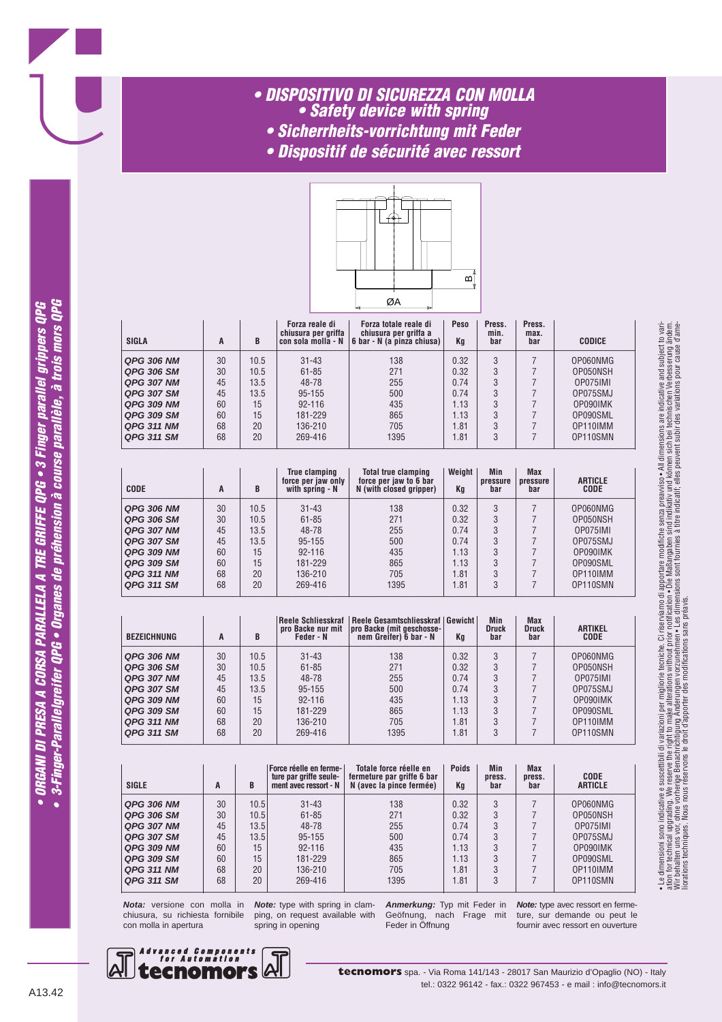# *• DISPOSITIVO DI SICUREZZA CON MOLLA • Safety device with spring*

- *Sicherrheits-vorrichtung mit Feder*
- *Dispositif de sécurité avec ressort*



| <b>SIGLA</b>      | A  | B    | Forza reale di<br>chiusura per griffa | Forza totale reale di<br>chiusura per griffa a<br>con sola molla - $N$ 6 bar - N (a pinza chiusa) | Peso<br>Kq | Press.<br>min.<br>bar | Press.<br>max.<br>bar | <b>CODICE</b> |
|-------------------|----|------|---------------------------------------|---------------------------------------------------------------------------------------------------|------------|-----------------------|-----------------------|---------------|
| <b>QPG 306 NM</b> | 30 | 10.5 | $31 - 43$                             | 138                                                                                               | 0.32       | 3                     |                       | OP060NMG      |
| QPG 306 SM        | 30 | 10.5 | $61 - 85$                             | 271                                                                                               | 0.32       | 3                     |                       | OP050NSH      |
| <b>QPG 307 NM</b> | 45 | 13.5 | 48-78                                 | 255                                                                                               | 0.74       | 3                     |                       | OP075IMI      |
| <b>QPG 307 SM</b> | 45 | 13.5 | 95-155                                | 500                                                                                               | 0.74       |                       |                       | OP075SMJ      |
| <b>QPG 309 NM</b> | 60 | 15   | $92 - 116$                            | 435                                                                                               | 1.13       | 3                     |                       | OP090IMK      |
| <b>QPG 309 SM</b> | 60 | 15   | 181-229                               | 865                                                                                               | 1.13       | 3                     |                       | OP090SML      |
| <b>QPG 311 NM</b> | 68 | 20   | 136-210                               | 705                                                                                               | l.81       | 3                     |                       | OP110IMM      |
| <b>QPG 311 SM</b> | 68 | 20   | 269-416                               | 1395                                                                                              | l.81       |                       |                       | OP110SMN      |

—————————————————————————————————————————————————————————

| <b>CODE</b>       | A  | B    | True clamping<br>force per jaw only<br>with spring - N | <b>Total true clamping</b><br>force per jaw to 6 bar<br>N (with closed gripper) | Weight<br>Kq | Min<br>pressure<br>bar | <b>Max</b><br>pressure<br>bar | <b>ARTICLE</b><br><b>CODE</b> |
|-------------------|----|------|--------------------------------------------------------|---------------------------------------------------------------------------------|--------------|------------------------|-------------------------------|-------------------------------|
| <b>QPG 306 NM</b> | 30 | 10.5 | $31 - 43$                                              | 138                                                                             | 0.32         | 3                      |                               | OP060NMG                      |
| QPG 306 SM        | 30 | 10.5 | $61 - 85$                                              | 271                                                                             | 0.32         | 3                      |                               | OP050NSH                      |
| <b>QPG 307 NM</b> | 45 | 13.5 | 48-78                                                  | 255                                                                             | 0.74         | 3                      |                               | OP075IMI                      |
| <b>QPG 307 SM</b> | 45 | 13.5 | 95-155                                                 | 500                                                                             | 0.74         | 3                      |                               | OP075SMJ                      |
| <b>QPG 309 NM</b> | 60 | 15   | $92 - 116$                                             | 435                                                                             | 1.13         | 3                      |                               | OP090IMK                      |
| <b>QPG 309 SM</b> | 60 | 15   | 181-229                                                | 865                                                                             | 1.13         | 3                      |                               | OP090SML                      |
| <b>QPG 311 NM</b> | 68 | 20   | 136-210                                                | 705                                                                             | 1.81         | 3                      |                               | OP110IMM                      |
| <b>QPG 311 SM</b> | 68 | 20   | 269-416                                                | 1395                                                                            | 1.81         | 3                      |                               | OP110SMN                      |

| <b>BEZEICHNUNG</b> | A  | B    | pro Backe nur mit<br>Feder - N | Reele Schliesskraf  Reele Gesamtschliesskraf Gewicht <br>pro Backe (mit geschosse-<br>nem Greifer) 6 bar - N | Kq   | Min<br>Druck<br>bar | Max<br><b>Druck</b><br>bar | <b>ARTIKEL</b><br><b>CODE</b> |
|--------------------|----|------|--------------------------------|--------------------------------------------------------------------------------------------------------------|------|---------------------|----------------------------|-------------------------------|
| <b>QPG 306 NM</b>  | 30 | 10.5 | $31 - 43$                      | 138                                                                                                          | 0.32 | 3                   |                            | OP060NMG                      |
| <b>QPG 306 SM</b>  | 30 | 10.5 | $61 - 85$                      | 271                                                                                                          | 0.32 | 3                   |                            | OP050NSH                      |
| <b>QPG 307 NM</b>  | 45 | 13.5 | 48-78                          | 255                                                                                                          | 0.74 | 3                   |                            | OP075IMI                      |
| <b>QPG 307 SM</b>  | 45 | 13.5 | 95-155                         | 500                                                                                                          | 0.74 | 3                   |                            | OP075SMJ                      |
| <b>QPG 309 NM</b>  | 60 | 15   | $92 - 116$                     | 435                                                                                                          | 1.13 | 3                   |                            | OP090IMK                      |
| <b>QPG 309 SM</b>  | 60 | 15   | 181-229                        | 865                                                                                                          | 1.13 | 3                   |                            | OP090SML                      |
| <b>QPG 311 NM</b>  | 68 | 20   | 136-210                        | 705                                                                                                          | l.81 | 3                   |                            | OP110IMM                      |
| <b>QPG 311 SM</b>  | 68 | 20   | 269-416                        | 1395                                                                                                         | l.81 | 3                   |                            | OP110SMN                      |

| <b>SIGLE</b>      | A  | B    | <b>Force réelle en ferme-</b><br>ture par griffe seule-<br>ment avec ressort - N | Totale force réelle en<br>fermeture par griffe 6 bar<br>N (avec la pince fermée) | <b>Poids</b><br>Min<br>press.<br>Kq<br>bar |   | <b>Max</b><br>press.<br>bar | <b>CODE</b><br><b>ARTICLE</b> |
|-------------------|----|------|----------------------------------------------------------------------------------|----------------------------------------------------------------------------------|--------------------------------------------|---|-----------------------------|-------------------------------|
| <b>QPG 306 NM</b> | 30 | 10.5 | $31 - 43$                                                                        | 138                                                                              | 0.32                                       | 3 |                             | OP060NMG                      |
| <b>QPG 306 SM</b> | 30 | 10.5 | $61 - 85$                                                                        | 271                                                                              | 0.32                                       | 3 |                             | OP050NSH                      |
| <b>QPG 307 NM</b> | 45 | 13.5 | 48-78                                                                            | 255                                                                              | 0.74                                       | 3 |                             | OP075IMI                      |
| <b>QPG 307 SM</b> | 45 | 13.5 | 95-155                                                                           | 500                                                                              | 0.74                                       | 3 |                             | OP075SMJ                      |
| <b>QPG 309 NM</b> | 60 | 15   | $92 - 116$                                                                       | 435                                                                              | 1.13                                       | 3 |                             | OP090IMK                      |
| <b>QPG 309 SM</b> | 60 | 15   | 181-229                                                                          | 865                                                                              | 1.13                                       | 3 |                             | OP090SML                      |
| <b>QPG 311 NM</b> | 68 | 20   | 136-210                                                                          | 705                                                                              | 1.81                                       | 3 |                             | OP110IMM                      |
| <b>QPG 311 SM</b> | 68 | 20   | 269-416                                                                          | 1395                                                                             | 1.81                                       | 3 |                             | OP110SMN                      |

**Nota:** versione con molla in chiusura, su richiesta fornibile con molla in apertura

**Note:** type with spring in clamping, on request available with spring in opening

**Anmerkung:** Typ mit Feder in Geöfnung, nach Frage mit Feder in Öffnung

**Note:** type avec ressort en fermeture, sur demande ou peut le fournir avec ressort en ouverture

• Le dimensioni sono indicative e suscettibili di variazioni per migliorie tecniche. Ci riserviamo di apportare modifiche senza preavviso • All dimensions are indicative and subject to variation for technical upgrading. We reserve the right to make alterations without prior notification • Die Maßangaben sind indikativ und können sin bei technischen Verbesserung ändern.<br>Wir behalten uns vor, ohne vorherige Be

• Le dimensioni sono indicative e suscettbili di variazioni per miglione teoriche. Ci riserviano di apportare modifiche senza preavviso• All dimensions are indicative and subject to vari-<br>ation for technical upgrading. We

liorations techniques. Nous nous réservons le droit d'apporter des modifications sans préavis.

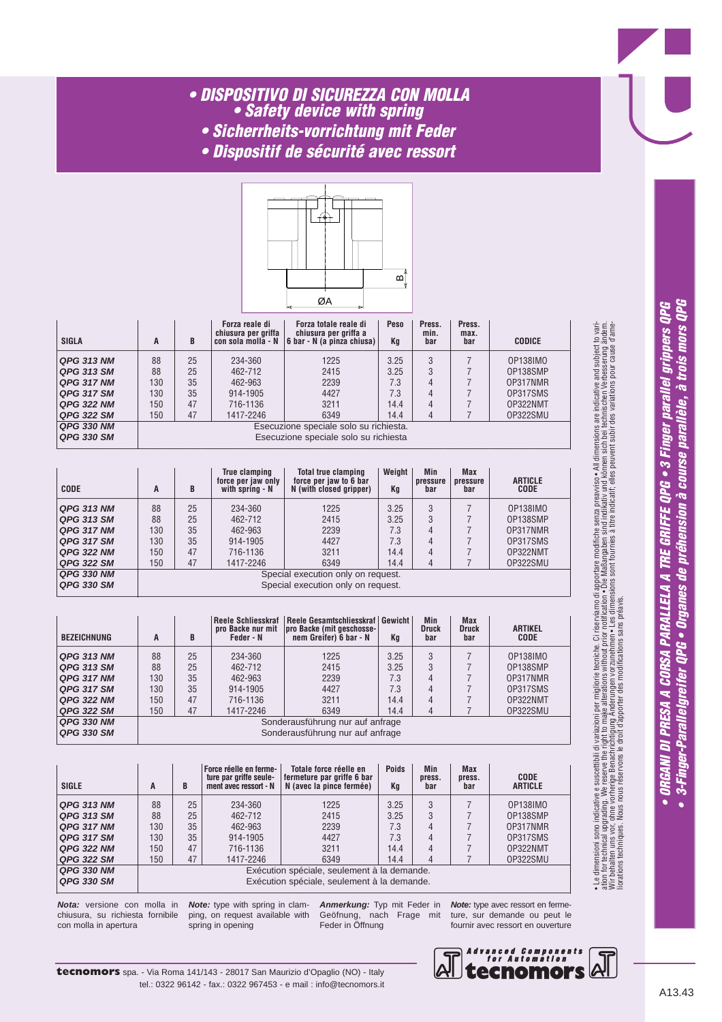### *• DISPOSITIVO DI SICUREZZA CON MOLLA • Safety device with spring*

- *Sicherrheits-vorrichtung mit Feder*
- *Dispositif de sécurité avec ressort*



| <b>SIGLA</b>      | B<br>A |    | Forza totale reale di<br>Peso<br>Forza reale di<br>chiusura per griffa<br>chiusura per griffa a<br>$\vert$ 6 bar - N (a pinza chiusa)<br>con sola molla - N<br>Kq |                                        | Press.<br>min.<br>bar | Press.<br>max.<br>bar | <b>CODICE</b> |          |
|-------------------|--------|----|-------------------------------------------------------------------------------------------------------------------------------------------------------------------|----------------------------------------|-----------------------|-----------------------|---------------|----------|
| <b>QPG 313 NM</b> | 88     | 25 | 234-360                                                                                                                                                           | 1225                                   | 3.25                  | 3                     |               | 0P138IMO |
| <b>QPG 313 SM</b> | 88     | 25 | 462-712                                                                                                                                                           | 2415                                   | 3.25                  | 3                     |               | OP138SMP |
| <b>QPG 317 NM</b> | 130    | 35 | 462-963                                                                                                                                                           | 2239                                   | 7.3                   | 4                     |               | OP317NMR |
| <b>QPG 317 SM</b> | 130    | 35 | 914-1905                                                                                                                                                          | 4427                                   | 7.3                   |                       |               | OP317SMS |
| <b>QPG 322 NM</b> | 150    | 47 | 716-1136                                                                                                                                                          | 3211                                   | 14.4                  | 4                     |               | OP322NMT |
| <b>QPG 322 SM</b> | 150    | 47 | 1417-2246                                                                                                                                                         | 6349                                   | 14.4                  |                       |               | OP322SMU |
| <b>QPG 330 NM</b> |        |    |                                                                                                                                                                   | Esecuzione speciale solo su richiesta. |                       |                       |               |          |
| <b>QPG 330 SM</b> |        |    |                                                                                                                                                                   | Esecuzione speciale solo su richiesta  |                       |                       |               |          |

—————————————————————————————————————————————————————————

| <b>CODE</b>       | A   | B  | True clamping<br><b>Total true clamping</b><br>force per jaw to 6 bar<br>force per jaw only<br>with spring - N<br>N (with closed gripper) |                                    | Weight  <br>Min<br>pressure<br>Kq<br>bar |   | <b>Max</b><br>pressure<br>bar | <b>ARTICLE</b><br>CODE |
|-------------------|-----|----|-------------------------------------------------------------------------------------------------------------------------------------------|------------------------------------|------------------------------------------|---|-------------------------------|------------------------|
| <b>QPG 313 NM</b> | 88  | 25 | 234-360                                                                                                                                   | 1225                               | 3.25                                     | 3 |                               | 0P138IMO               |
| <b>QPG 313 SM</b> | 88  | 25 | 462-712                                                                                                                                   | 2415                               | 3.25                                     | 3 |                               | OP138SMP               |
| <b>QPG 317 NM</b> | 130 | 35 | 462-963                                                                                                                                   | 2239                               | 7.3                                      | 4 |                               | OP317NMR               |
| <b>QPG 317 SM</b> | 130 | 35 | 914-1905                                                                                                                                  | 4427                               | 7.3                                      | 4 |                               | OP317SMS               |
| <b>QPG 322 NM</b> | 150 | 47 | 716-1136                                                                                                                                  | 3211                               | 14.4                                     | 4 |                               | OP322NMT               |
| <b>QPG 322 SM</b> | 150 | 47 | 1417-2246                                                                                                                                 | 6349                               | 14.4                                     | 4 |                               | OP322SMU               |
| <b>QPG 330 NM</b> |     |    |                                                                                                                                           | Special execution only on request. |                                          |   |                               |                        |
| <b>QPG 330 SM</b> |     |    |                                                                                                                                           | Special execution only on request. |                                          |   |                               |                        |

| <b>BEZEICHNUNG</b> | A   | B  | pro Backe nur mit<br>Feder - N | Reele Schliesskraf  Reele Gesamtschliesskraf   Gewicht  <br>pro Backe (mit geschosse-<br>nem Greifer) 6 bar - N | Kq   | Min<br><b>Druck</b><br>bar | <b>Max</b><br><b>Druck</b><br>bar | <b>ARTIKEL</b><br><b>CODE</b> |
|--------------------|-----|----|--------------------------------|-----------------------------------------------------------------------------------------------------------------|------|----------------------------|-----------------------------------|-------------------------------|
| <b>QPG 313 NM</b>  | 88  | 25 | 234-360                        | 1225                                                                                                            | 3.25 | 3                          |                                   | 0P138IM0                      |
| QPG 313 SM         | 88  | 25 | 462-712                        | 2415                                                                                                            | 3.25 | 3                          |                                   | OP138SMP                      |
| <b>QPG 317 NM</b>  | 130 | 35 | 462-963                        | 2239                                                                                                            | 7.3  | 4                          |                                   | OP317NMR                      |
| <b>QPG 317 SM</b>  | 130 | 35 | 914-1905                       | 4427                                                                                                            | 7.3  | 4                          |                                   | OP317SMS                      |
| <b>QPG 322 NM</b>  | 150 | 47 | 716-1136                       | 3211                                                                                                            | 14.4 | 4                          |                                   | OP322NMT                      |
| <b>QPG 322 SM</b>  | 150 | 47 | 1417-2246                      | 6349                                                                                                            | 14.4 | 4                          |                                   | 0P322SMU                      |
| <b>QPG 330 NM</b>  |     |    |                                | Sonderausführung nur auf anfrage                                                                                |      |                            |                                   |                               |
| <b>QPG 330 SM</b>  |     |    |                                | Sonderausführung nur auf anfrage                                                                                |      |                            |                                   |                               |

—————————————————————————————————————————————————————————

 $\Box$  , and the contribution of the contribution of the contribution of the contribution of the contribution of the contribution of the contribution of the contribution of the contribution of the contribution of the contri

| <b>SIGLE</b>      | A   | B  | <b>Poids</b><br>Force réelle en ferme-<br>Totale force réelle en<br>ture par griffe seule-<br>fermeture par griffe 6 bar<br>N (avec la pince fermée)<br>ment avec ressort - N<br>Kq |                                             | <b>Min</b><br>press.<br>bar | <b>Max</b><br>press.<br>bar | <b>CODE</b><br><b>ARTICLE</b> |          |
|-------------------|-----|----|-------------------------------------------------------------------------------------------------------------------------------------------------------------------------------------|---------------------------------------------|-----------------------------|-----------------------------|-------------------------------|----------|
| <b>QPG 313 NM</b> | 88  | 25 | 234-360                                                                                                                                                                             | 1225                                        | 3.25                        | 3                           |                               | 0P138IM0 |
| <b>QPG 313 SM</b> | 88  | 25 | 462-712                                                                                                                                                                             | 2415                                        | 3.25                        | 3                           |                               | OP138SMP |
| <b>QPG 317 NM</b> | 130 | 35 | 462-963                                                                                                                                                                             | 2239                                        | 7.3                         | 4                           |                               | OP317NMR |
| <b>QPG 317 SM</b> | 130 | 35 | 914-1905                                                                                                                                                                            | 4427                                        | 7.3                         | 4                           |                               | OP317SMS |
| <b>QPG 322 NM</b> | 150 | 47 | 716-1136                                                                                                                                                                            | 3211                                        | 14.4                        | 4                           |                               | OP322NMT |
| <b>QPG 322 SM</b> | 150 | 47 | 1417-2246                                                                                                                                                                           | 6349                                        | 14.4                        | 4                           |                               | OP322SMU |
| QPG 330 NM        |     |    |                                                                                                                                                                                     | Exécution spéciale, seulement à la demande. |                             |                             |                               |          |
| <b>QPG 330 SM</b> |     |    |                                                                                                                                                                                     | Exécution spéciale, seulement à la demande. |                             |                             |                               |          |

**Nota:** versione con molla in chiusura, su richiesta fornibile con molla in apertura

**Note:** type with spring in clamping, on request available with spring in opening

**Anmerkung:** Typ mit Feder in Geöfnung, nach Frage mit Feder in Öffnung

**Note:** type avec ressort en fermeture, sur demande ou peut le fournir avec ressort en ouverture



• Le dimensioni sono indicative e suscettibili di variazioni per migliorie tecniche. Ci riserviamo di apportare modifiche senza preavviso • All dimensions are indicative and subject to variation for technical upgrading. We reserve the right to make alterations without prior notification • Die Maßangaben sind indikativ und können sin bei technischen Verbesserung ändern.<br>Wir behalten uns vor, ohne vorherige Be

• Le dimensioni sono indicative e suscettbili di variazioni per migliorie tecniche. Ci riserviamo di apportare modifiche senza preavviso• All dimensions are indicative and subject to vari-<br>ation for technical upgrading. We

liorations techniques. Nous nous réservons le droit d'apporter des modifications sans préavis.

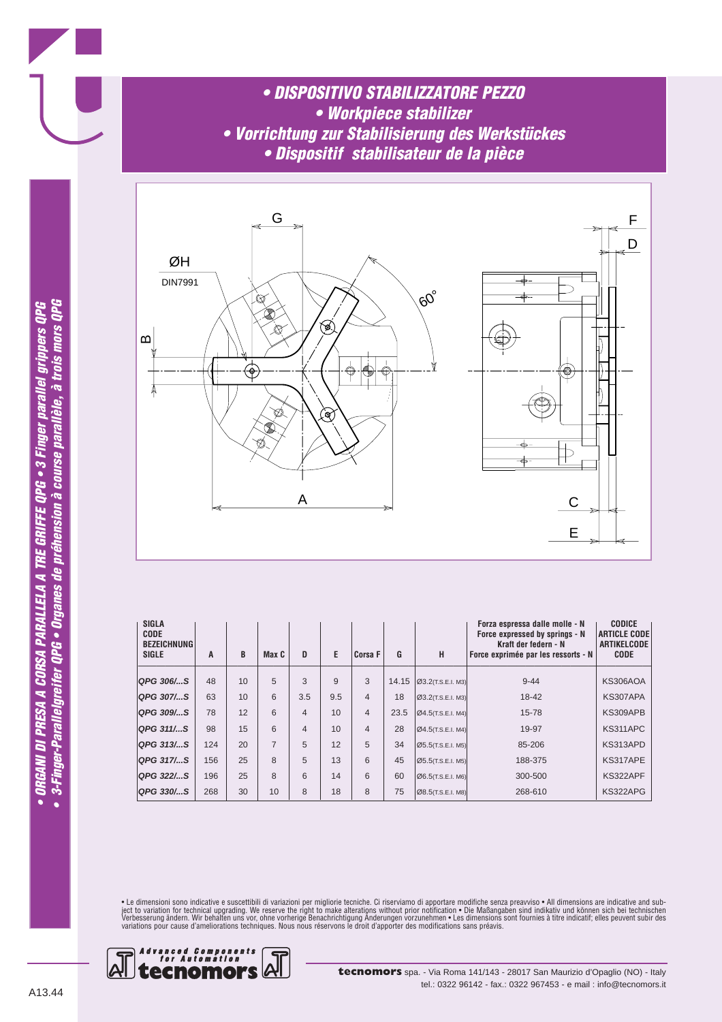*• DISPOSITIVO STABILIZZATORE PEZZO • Workpiece stabilizer • Vorrichtung zur Stabilisierung des Werkstückes • Dispositif stabilisateur de la pièce*



| <b>SIGLA</b><br><b>CODE</b><br><b>BEZEICHNUNG</b><br><b>SIGLE</b> | A   | B  | Max C | D              | E            | <b>Corsa F</b> | G     | н                    | Forza espressa dalle molle - N<br>Force expressed by springs - N<br>Kraft der federn - N<br>Force exprimée par les ressorts - N | <b>CODICE</b><br><b>ARTICLE CODE</b><br><b>ARTIKELCODE</b><br><b>CODE</b> |
|-------------------------------------------------------------------|-----|----|-------|----------------|--------------|----------------|-------|----------------------|---------------------------------------------------------------------------------------------------------------------------------|---------------------------------------------------------------------------|
| QPG 306/…S                                                        | 48  | 10 | 5     | 3              | $\mathbf{Q}$ | 3              | 14.15 | 03.2(T.S.E.I. M3)    | $9 - 44$                                                                                                                        | <b>KS306AOA</b>                                                           |
| QPG 307/S                                                         | 63  | 10 | 6     | 3.5            | 9.5          | $\overline{4}$ | 18    | 03.2(T.S.E.I. M3)    | 18-42                                                                                                                           | KS307APA                                                                  |
| QPG 309/S                                                         | 78  | 12 | 6     | $\overline{4}$ | 10           | $\overline{4}$ | 23.5  | [Ø4.5(T.S.E.I. M4)]  | 15-78                                                                                                                           | KS309APB                                                                  |
| QPG 311/S                                                         | 98  | 15 | 6     | $\overline{4}$ | 10           | $\overline{4}$ | 28    | $Q4.5$ (T.S.E.I. M4) | 19-97                                                                                                                           | KS311APC                                                                  |
| QPG 313/S                                                         | 124 | 20 | 7     | 5              | 12           | 5              | 34    | [Ø5.5(T.S.E.I. M5)]  | 85-206                                                                                                                          | KS313APD                                                                  |
| QPG 317/S                                                         | 156 | 25 | 8     | 5              | 13           | 6              | 45    | [Ø5.5(T.S.E.I. M5)]  | 188-375                                                                                                                         | KS317APE                                                                  |
| <b>QPG 322/S</b>                                                  | 196 | 25 | 8     | 6              | 14           | 6              | 60    | [Ø6.5(T.S.E.I. M6)]  | 300-500                                                                                                                         | KS322APF                                                                  |
| QPG 330/S                                                         | 268 | 30 | 10    | 8              | 18           | 8              | 75    | [Ø8.5(T.S.E.I. M8)]  | 268-610                                                                                                                         | KS322APG                                                                  |

• Le dimensioni sono indicative e suscettibili di variazioni per migliorie tecniche. Ci riserviamo di apportare modifiche senza preavviso • All dimensions are indicative and sub-<br>ject to variation for technical upgrading.



A13.44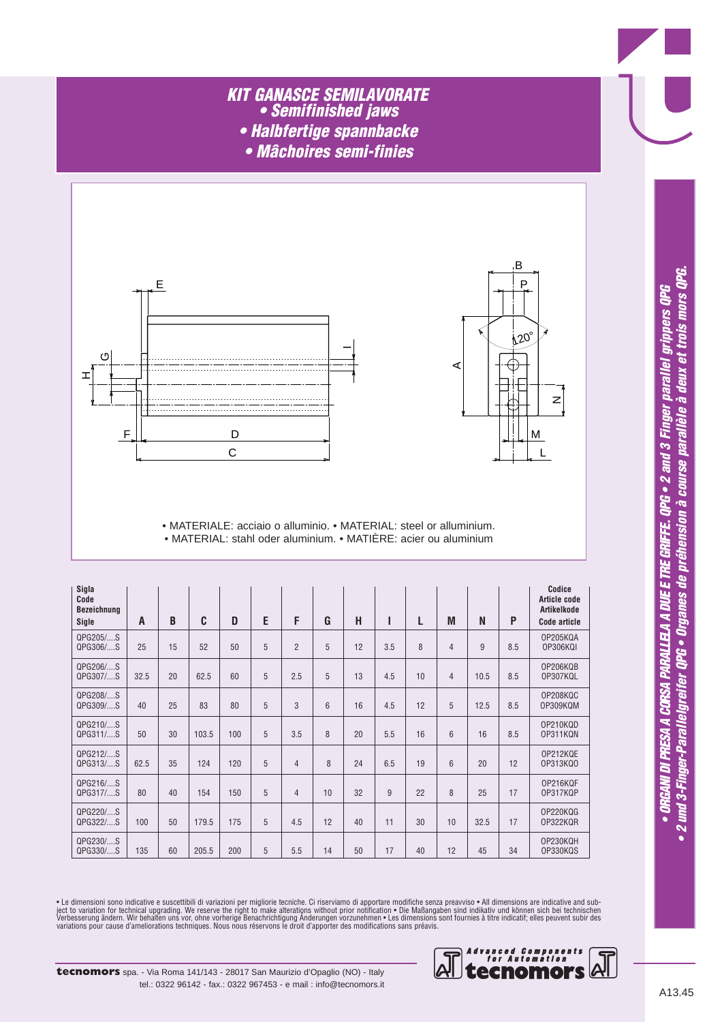#### *KIT GANASCE SEMILAVORATE • Semifinished jaws • Halbfertige spannbacke*

*• Mâchoires semi-finies*



![](_page_29_Figure_3.jpeg)

• MATERIALE: acciaio o alluminio. • MATERIAL: steel or alluminium. • MATERIAL: stahl oder aluminium. • MATIÈRE: acier ou aluminium

| Sigla<br>Code<br><b>Bezeichnung</b><br>Sigle | A    | B  | C     | D   | E | F              | G  | н  |     | L  | M              | N    | P   | Codice<br>Article code<br>Artikelkode<br>Code article |
|----------------------------------------------|------|----|-------|-----|---|----------------|----|----|-----|----|----------------|------|-----|-------------------------------------------------------|
| QPG205/S<br>QPG306/S                         | 25   | 15 | 52    | 50  | 5 | $\overline{2}$ | 5  | 12 | 3.5 | 8  | $\overline{4}$ | 9    | 8.5 | <b>OP205KQA</b><br>OP306KQI                           |
| QPG206/S<br>QPG307/S                         | 32.5 | 20 | 62.5  | 60  | 5 | 2.5            | 5  | 13 | 4.5 | 10 | $\overline{4}$ | 10.5 | 8.5 | OP206KQB<br>OP307KQL                                  |
| QPG208/S<br>QPG309/S                         | 40   | 25 | 83    | 80  | 5 | 3              | 6  | 16 | 4.5 | 12 | 5              | 12.5 | 8.5 | OP208KQC<br>OP309KQM                                  |
| QPG210/S<br>QPG311/S                         | 50   | 30 | 103.5 | 100 | 5 | 3.5            | 8  | 20 | 5.5 | 16 | $6\phantom{1}$ | 16   | 8.5 | OP210KQD<br>OP311KQN                                  |
| QPG212/S<br>QPG313/S                         | 62.5 | 35 | 124   | 120 | 5 | $\overline{4}$ | 8  | 24 | 6.5 | 19 | 6              | 20   | 12  | OP212KQE<br>0P313KQ0                                  |
| QPG216/S<br>QPG317/S                         | 80   | 40 | 154   | 150 | 5 | $\overline{4}$ | 10 | 32 | 9   | 22 | 8              | 25   | 17  | OP216KQF<br>OP317KQP                                  |
| QPG220/S<br>QPG322/S                         | 100  | 50 | 179.5 | 175 | 5 | 4.5            | 12 | 40 | 11  | 30 | 10             | 32.5 | 17  | OP220KQG<br>OP322KQR                                  |
| QPG230/S<br>QPG330/S                         | 135  | 60 | 205.5 | 200 | 5 | 5.5            | 14 | 50 | 17  | 40 | 12             | 45   | 34  | OP230KQH<br>OP330KQS                                  |

• Le dimensioni sono indicative e suscettibili di variazioni per migliorie tecniche. Ci riserviamo di apportare modifiche senza preavviso • All dimensions are indicative and sub-<br>ject to variation for technical upgrading.

![](_page_29_Picture_7.jpeg)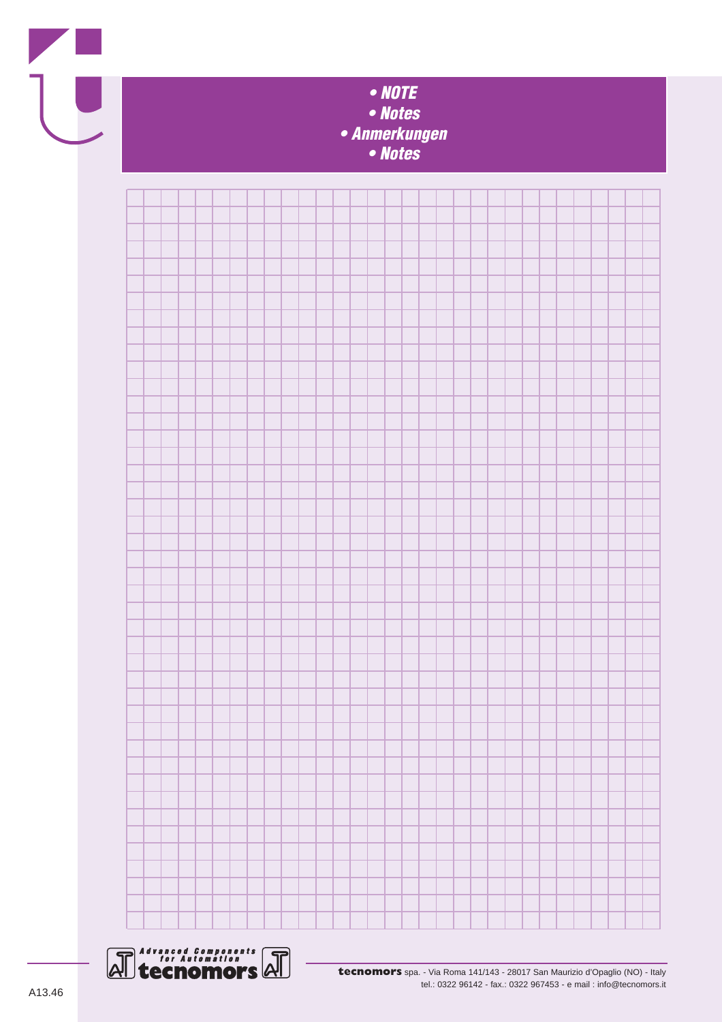![](_page_30_Picture_0.jpeg)